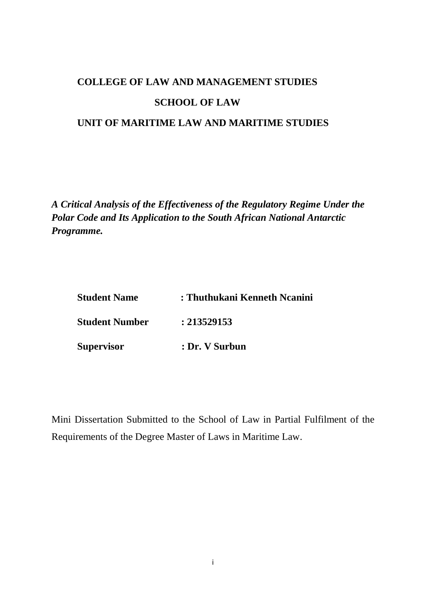# **COLLEGE OF LAW AND MANAGEMENT STUDIES SCHOOL OF LAW UNIT OF MARITIME LAW AND MARITIME STUDIES**

*A Critical Analysis of the Effectiveness of the Regulatory Regime Under the Polar Code and Its Application to the South African National Antarctic Programme.*

| <b>Student Name</b>   | : Thuthukani Kenneth Ncanini |  |
|-----------------------|------------------------------|--|
| <b>Student Number</b> | : 213529153                  |  |
| Supervisor            | : Dr. V Surbun               |  |

Mini Dissertation Submitted to the School of Law in Partial Fulfilment of the Requirements of the Degree Master of Laws in Maritime Law.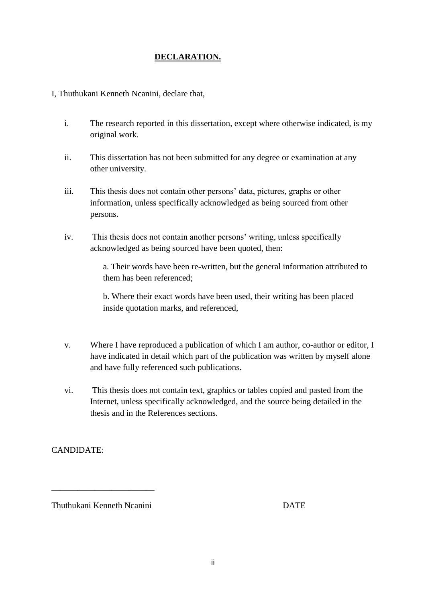# **DECLARATION.**

I, Thuthukani Kenneth Ncanini, declare that,

- i. The research reported in this dissertation, except where otherwise indicated, is my original work.
- ii. This dissertation has not been submitted for any degree or examination at any other university.
- iii. This thesis does not contain other persons' data, pictures, graphs or other information, unless specifically acknowledged as being sourced from other persons.
- iv. This thesis does not contain another persons' writing, unless specifically acknowledged as being sourced have been quoted, then:

a. Their words have been re-written, but the general information attributed to them has been referenced;

b. Where their exact words have been used, their writing has been placed inside quotation marks, and referenced,

- v. Where I have reproduced a publication of which I am author, co-author or editor, I have indicated in detail which part of the publication was written by myself alone and have fully referenced such publications.
- vi. This thesis does not contain text, graphics or tables copied and pasted from the Internet, unless specifically acknowledged, and the source being detailed in the thesis and in the References sections.

CANDIDATE:

Thuthukani Kenneth Ncanini DATE

\_\_\_\_\_\_\_\_\_\_\_\_\_\_\_\_\_\_\_\_\_\_\_\_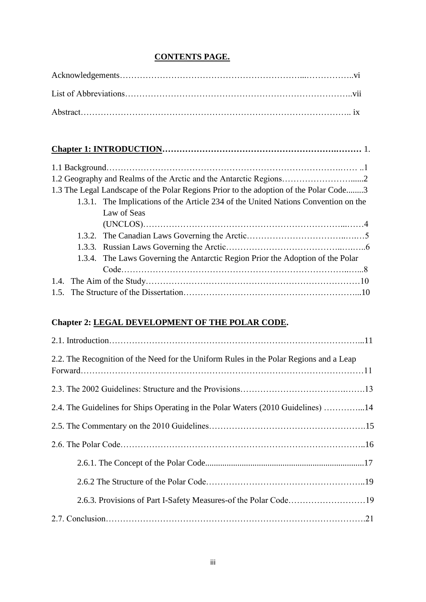# **CONTENTS PAGE.**

| 1.3 The Legal Landscape of the Polar Regions Prior to the adoption of the Polar Code3 |  |  |  |
|---------------------------------------------------------------------------------------|--|--|--|
| 1.3.1. The Implications of the Article 234 of the United Nations Convention on the    |  |  |  |
| Law of Seas                                                                           |  |  |  |
|                                                                                       |  |  |  |
|                                                                                       |  |  |  |
|                                                                                       |  |  |  |
| 1.3.4. The Laws Governing the Antarctic Region Prior the Adoption of the Polar        |  |  |  |
|                                                                                       |  |  |  |
|                                                                                       |  |  |  |
|                                                                                       |  |  |  |

# **Chapter 2: LEGAL DEVELOPMENT OF THE POLAR CODE.**

| 2.2. The Recognition of the Need for the Uniform Rules in the Polar Regions and a Leap |
|----------------------------------------------------------------------------------------|
|                                                                                        |
| 2.4. The Guidelines for Ships Operating in the Polar Waters (2010 Guidelines) 14       |
|                                                                                        |
|                                                                                        |
|                                                                                        |
|                                                                                        |
| 2.6.3. Provisions of Part I-Safety Measures-of the Polar Code19                        |
|                                                                                        |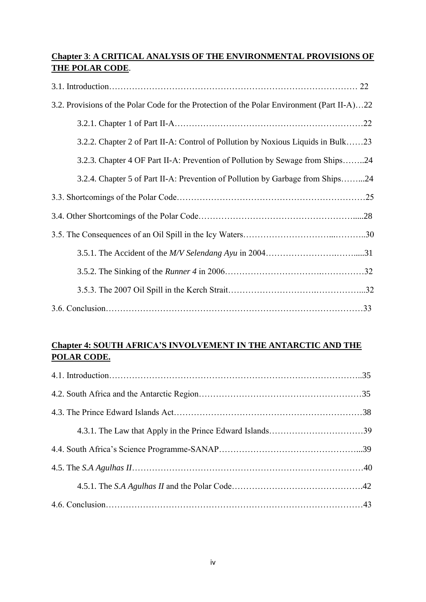# **Chapter 3**: **A CRITICAL ANALYSIS OF THE ENVIRONMENTAL PROVISIONS OF THE POLAR CODE**.

| 3.2. Provisions of the Polar Code for the Protection of the Polar Environment (Part II-A)22 |
|---------------------------------------------------------------------------------------------|
|                                                                                             |
| 3.2.2. Chapter 2 of Part II-A: Control of Pollution by Noxious Liquids in Bulk23            |
| 3.2.3. Chapter 4 OF Part II-A: Prevention of Pollution by Sewage from Ships24               |
| 3.2.4. Chapter 5 of Part II-A: Prevention of Pollution by Garbage from Ships24              |
|                                                                                             |
|                                                                                             |
|                                                                                             |
|                                                                                             |
|                                                                                             |
|                                                                                             |
|                                                                                             |

# **Chapter 4: SOUTH AFRICA'S INVOLVEMENT IN THE ANTARCTIC AND THE POLAR CODE.**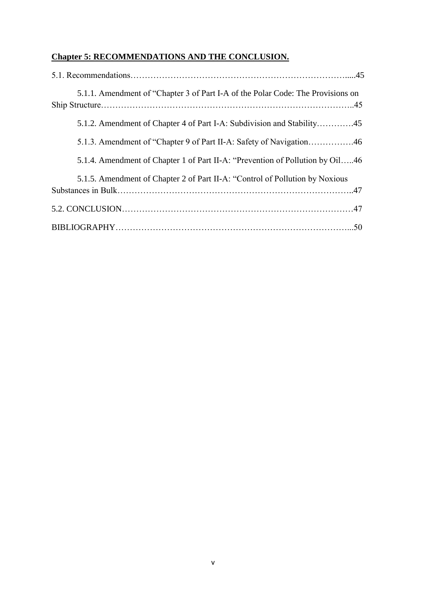# **Chapter 5: RECOMMENDATIONS AND THE CONCLUSION.**

| 5.1.1. Amendment of "Chapter 3 of Part I-A of the Polar Code: The Provisions on |
|---------------------------------------------------------------------------------|
| 5.1.2. Amendment of Chapter 4 of Part I-A: Subdivision and Stability45          |
|                                                                                 |
| 5.1.4. Amendment of Chapter 1 of Part II-A: "Prevention of Pollution by Oil46   |
| 5.1.5. Amendment of Chapter 2 of Part II-A: "Control of Pollution by Noxious    |
|                                                                                 |
|                                                                                 |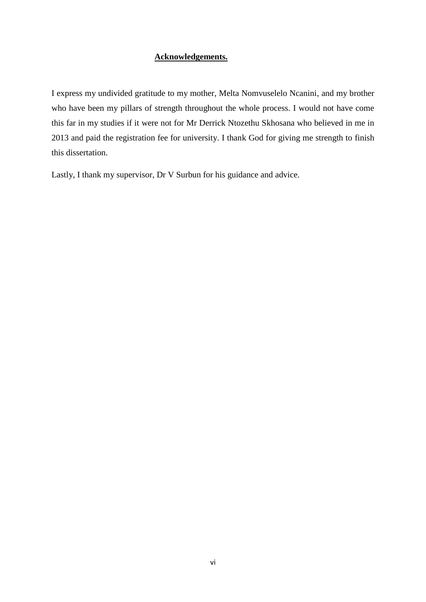### **Acknowledgements.**

I express my undivided gratitude to my mother, Melta Nomvuselelo Ncanini, and my brother who have been my pillars of strength throughout the whole process. I would not have come this far in my studies if it were not for Mr Derrick Ntozethu Skhosana who believed in me in 2013 and paid the registration fee for university. I thank God for giving me strength to finish this dissertation.

Lastly, I thank my supervisor, Dr V Surbun for his guidance and advice.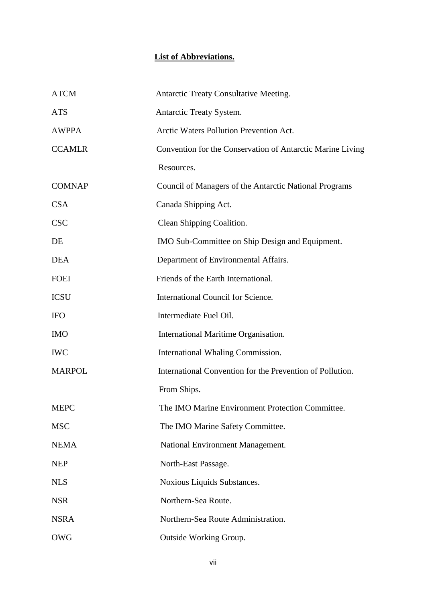# **List of Abbreviations.**

| <b>ATCM</b>   | Antarctic Treaty Consultative Meeting.                     |
|---------------|------------------------------------------------------------|
| <b>ATS</b>    | Antarctic Treaty System.                                   |
| <b>AWPPA</b>  | Arctic Waters Pollution Prevention Act.                    |
| <b>CCAMLR</b> | Convention for the Conservation of Antarctic Marine Living |
|               | Resources.                                                 |
| <b>COMNAP</b> | Council of Managers of the Antarctic National Programs     |
| <b>CSA</b>    | Canada Shipping Act.                                       |
| <b>CSC</b>    | Clean Shipping Coalition.                                  |
| DE            | IMO Sub-Committee on Ship Design and Equipment.            |
| <b>DEA</b>    | Department of Environmental Affairs.                       |
| <b>FOEI</b>   | Friends of the Earth International.                        |
| <b>ICSU</b>   | International Council for Science.                         |
| <b>IFO</b>    | Intermediate Fuel Oil.                                     |
| <b>IMO</b>    | International Maritime Organisation.                       |
| <b>IWC</b>    | International Whaling Commission.                          |
| <b>MARPOL</b> | International Convention for the Prevention of Pollution.  |
|               | From Ships.                                                |
| <b>MEPC</b>   | The IMO Marine Environment Protection Committee            |
| <b>MSC</b>    | The IMO Marine Safety Committee.                           |
| <b>NEMA</b>   | National Environment Management.                           |
| <b>NEP</b>    | North-East Passage.                                        |
| <b>NLS</b>    | Noxious Liquids Substances.                                |
| <b>NSR</b>    | Northern-Sea Route.                                        |
| <b>NSRA</b>   | Northern-Sea Route Administration.                         |
| <b>OWG</b>    | Outside Working Group.                                     |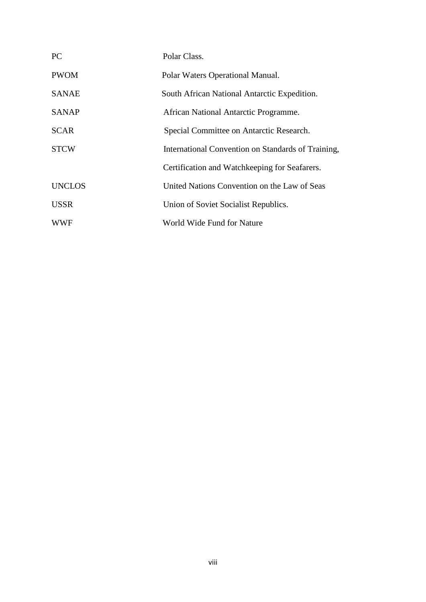| <b>PC</b>     | Polar Class.                                       |
|---------------|----------------------------------------------------|
| <b>PWOM</b>   | Polar Waters Operational Manual.                   |
| <b>SANAE</b>  | South African National Antarctic Expedition.       |
| <b>SANAP</b>  | African National Antarctic Programme.              |
| <b>SCAR</b>   | Special Committee on Antarctic Research.           |
| <b>STCW</b>   | International Convention on Standards of Training, |
|               | Certification and Watchkeeping for Seafarers.      |
| <b>UNCLOS</b> | United Nations Convention on the Law of Seas       |
| <b>USSR</b>   | Union of Soviet Socialist Republics.               |
| <b>WWF</b>    | World Wide Fund for Nature                         |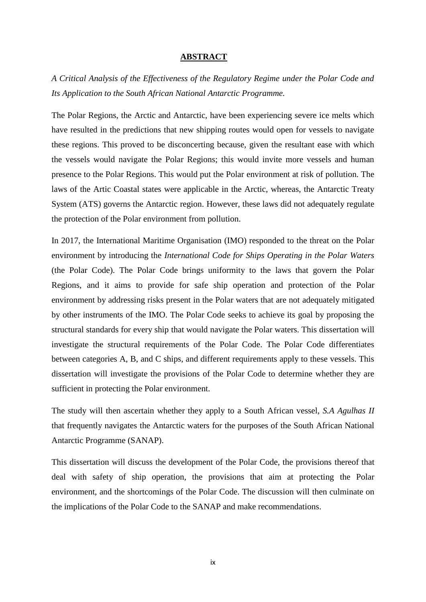### **ABSTRACT**

*A Critical Analysis of the Effectiveness of the Regulatory Regime under the Polar Code and Its Application to the South African National Antarctic Programme.*

The Polar Regions, the Arctic and Antarctic, have been experiencing severe ice melts which have resulted in the predictions that new shipping routes would open for vessels to navigate these regions. This proved to be disconcerting because, given the resultant ease with which the vessels would navigate the Polar Regions; this would invite more vessels and human presence to the Polar Regions. This would put the Polar environment at risk of pollution. The laws of the Artic Coastal states were applicable in the Arctic, whereas, the Antarctic Treaty System (ATS) governs the Antarctic region. However, these laws did not adequately regulate the protection of the Polar environment from pollution.

In 2017, the International Maritime Organisation (IMO) responded to the threat on the Polar environment by introducing the *International Code for Ships Operating in the Polar Waters* (the Polar Code). The Polar Code brings uniformity to the laws that govern the Polar Regions, and it aims to provide for safe ship operation and protection of the Polar environment by addressing risks present in the Polar waters that are not adequately mitigated by other instruments of the IMO. The Polar Code seeks to achieve its goal by proposing the structural standards for every ship that would navigate the Polar waters. This dissertation will investigate the structural requirements of the Polar Code. The Polar Code differentiates between categories A, B, and C ships, and different requirements apply to these vessels. This dissertation will investigate the provisions of the Polar Code to determine whether they are sufficient in protecting the Polar environment.

The study will then ascertain whether they apply to a South African vessel, *S.A Agulhas II*  that frequently navigates the Antarctic waters for the purposes of the South African National Antarctic Programme (SANAP).

This dissertation will discuss the development of the Polar Code, the provisions thereof that deal with safety of ship operation, the provisions that aim at protecting the Polar environment, and the shortcomings of the Polar Code. The discussion will then culminate on the implications of the Polar Code to the SANAP and make recommendations.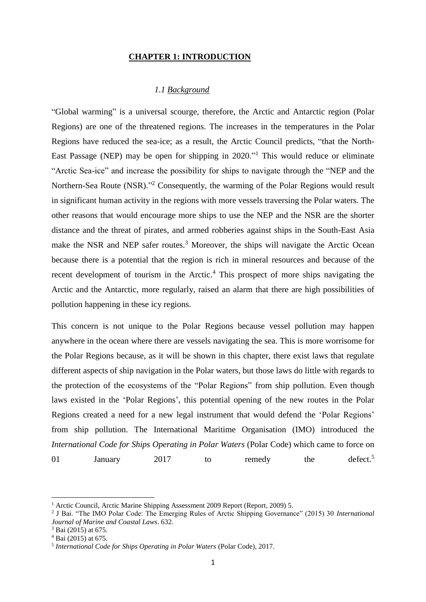#### **CHAPTER 1: INTRODUCTION**

# *1.1 Background*

"Global warming" is a universal scourge, therefore, the Arctic and Antarctic region (Polar Regions) are one of the threatened regions. The increases in the temperatures in the Polar Regions have reduced the sea-ice; as a result, the Arctic Council predicts, "that the North-East Passage (NEP) may be open for shipping in 2020."<sup>1</sup> This would reduce or eliminate "Arctic Sea-ice" and increase the possibility for ships to navigate through the "NEP and the Northern-Sea Route (NSR)."<sup>2</sup> Consequently, the warming of the Polar Regions would result in significant human activity in the regions with more vessels traversing the Polar waters. The other reasons that would encourage more ships to use the NEP and the NSR are the shorter distance and the threat of pirates, and armed robberies against ships in the South-East Asia make the NSR and NEP safer routes.<sup>3</sup> Moreover, the ships will navigate the Arctic Ocean because there is a potential that the region is rich in mineral resources and because of the recent development of tourism in the Arctic. <sup>4</sup> This prospect of more ships navigating the Arctic and the Antarctic, more regularly, raised an alarm that there are high possibilities of pollution happening in these icy regions.

This concern is not unique to the Polar Regions because vessel pollution may happen anywhere in the ocean where there are vessels navigating the sea. This is more worrisome for the Polar Regions because, as it will be shown in this chapter, there exist laws that regulate different aspects of ship navigation in the Polar waters, but those laws do little with regards to the protection of the ecosystems of the "Polar Regions" from ship pollution. Even though laws existed in the 'Polar Regions', this potential opening of the new routes in the Polar Regions created a need for a new legal instrument that would defend the 'Polar Regions' from ship pollution. The International Maritime Organisation (IMO) introduced the *International Code for Ships Operating in Polar Waters* (Polar Code) which came to force on 01 January 2017 to remedy the defect.<sup>5</sup>

<sup>&</sup>lt;sup>1</sup> Arctic Council, Arctic Marine Shipping Assessment 2009 Report (Report, 2009) 5.

<sup>2</sup> J Bai. "The IMO Polar Code: The Emerging Rules of Arctic Shipping Governance" (2015) 30 *International Journal of Marine and Coastal Laws*. 632.

<sup>3</sup> Bai (2015) at 675.

<sup>4</sup> Bai (2015) at 675.

<sup>5</sup> *International Code for Ships Operating in Polar Waters* (Polar Code), 2017.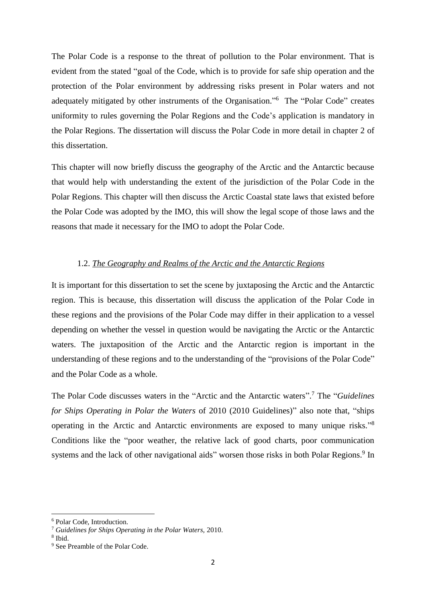The Polar Code is a response to the threat of pollution to the Polar environment. That is evident from the stated "goal of the Code, which is to provide for safe ship operation and the protection of the Polar environment by addressing risks present in Polar waters and not adequately mitigated by other instruments of the Organisation."<sup>6</sup> The "Polar Code" creates uniformity to rules governing the Polar Regions and the Code's application is mandatory in the Polar Regions. The dissertation will discuss the Polar Code in more detail in chapter 2 of this dissertation.

This chapter will now briefly discuss the geography of the Arctic and the Antarctic because that would help with understanding the extent of the jurisdiction of the Polar Code in the Polar Regions. This chapter will then discuss the Arctic Coastal state laws that existed before the Polar Code was adopted by the IMO, this will show the legal scope of those laws and the reasons that made it necessary for the IMO to adopt the Polar Code.

### 1.2. *The Geography and Realms of the Arctic and the Antarctic Regions*

It is important for this dissertation to set the scene by juxtaposing the Arctic and the Antarctic region. This is because, this dissertation will discuss the application of the Polar Code in these regions and the provisions of the Polar Code may differ in their application to a vessel depending on whether the vessel in question would be navigating the Arctic or the Antarctic waters. The juxtaposition of the Arctic and the Antarctic region is important in the understanding of these regions and to the understanding of the "provisions of the Polar Code" and the Polar Code as a whole.

The Polar Code discusses waters in the "Arctic and the Antarctic waters". <sup>7</sup> The "*Guidelines for Ships Operating in Polar the Waters* of 2010 (2010 Guidelines)" also note that, "ships operating in the Arctic and Antarctic environments are exposed to many unique risks."<sup>8</sup> Conditions like the "poor weather, the relative lack of good charts, poor communication systems and the lack of other navigational aids" worsen those risks in both Polar Regions.<sup>9</sup> In

<sup>6</sup> Polar Code, Introduction.

<sup>7</sup> *Guidelines for Ships Operating in the Polar Waters,* 2010.

<sup>8</sup> Ibid.

<sup>9</sup> See Preamble of the Polar Code.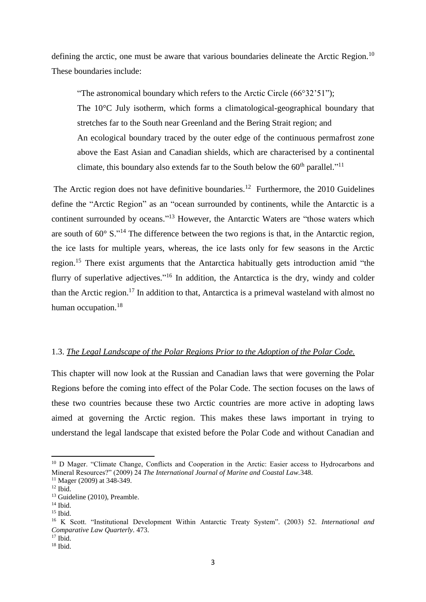defining the arctic, one must be aware that various boundaries delineate the Arctic Region.<sup>10</sup> These boundaries include:

"The astronomical boundary which refers to the Arctic Circle (66°32'51"); The 10°C July isotherm, which forms a climatological-geographical boundary that stretches far to the South near Greenland and the Bering Strait region; and An ecological boundary traced by the outer edge of the continuous permafrost zone above the East Asian and Canadian shields, which are characterised by a continental climate, this boundary also extends far to the South below the  $60<sup>th</sup>$  parallel."<sup>11</sup>

The Arctic region does not have definitive boundaries.<sup>12</sup> Furthermore, the 2010 Guidelines define the "Arctic Region" as an "ocean surrounded by continents, while the Antarctic is a continent surrounded by oceans."<sup>13</sup> However, the Antarctic Waters are "those waters which are south of  $60^{\circ}$  S."<sup>14</sup> The difference between the two regions is that, in the Antarctic region, the ice lasts for multiple years, whereas, the ice lasts only for few seasons in the Arctic region.<sup>15</sup> There exist arguments that the Antarctica habitually gets introduction amid "the flurry of superlative adjectives."<sup>16</sup> In addition, the Antarctica is the dry, windy and colder than the Arctic region.<sup>17</sup> In addition to that, Antarctica is a primeval wasteland with almost no human occupation.<sup>18</sup>

### 1.3. *The Legal Landscape of the Polar Regions Prior to the Adoption of the Polar Code.*

This chapter will now look at the Russian and Canadian laws that were governing the Polar Regions before the coming into effect of the Polar Code. The section focuses on the laws of these two countries because these two Arctic countries are more active in adopting laws aimed at governing the Arctic region. This makes these laws important in trying to understand the legal landscape that existed before the Polar Code and without Canadian and

<sup>&</sup>lt;sup>10</sup> D Mager. "Climate Change, Conflicts and Cooperation in the Arctic: Easier access to Hydrocarbons and Mineral Resources?" (2009) 24 *The International Journal of Marine and Coastal Law.*348.

<sup>&</sup>lt;sup>11</sup> Mager (2009) at 348-349.

 $12$  Ibid.

<sup>&</sup>lt;sup>13</sup> Guideline (2010), Preamble.

<sup>14</sup> Ibid.

<sup>&</sup>lt;sup>15</sup> Ibid.

<sup>16</sup> K Scott. "Institutional Development Within Antarctic Treaty System". (2003) 52. *International and Comparative Law Quarterly*. 473.

 $17$  Ibid.

 $18$  Ibid.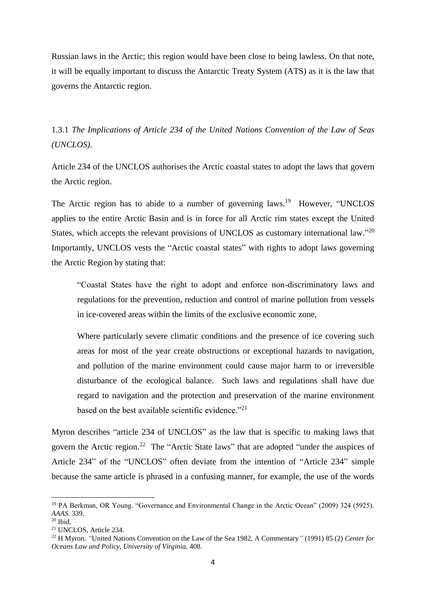Russian laws in the Arctic; this region would have been close to being lawless. On that note, it will be equally important to discuss the Antarctic Treaty System (ATS) as it is the law that governs the Antarctic region.

1.3.1 *The Implications of Article 234 of the United Nations Convention of the Law of Seas (UNCLOS).*

Article 234 of the UNCLOS authorises the Arctic coastal states to adopt the laws that govern the Arctic region.

The Arctic region has to abide to a number of governing laws.<sup>19</sup> However, "UNCLOS applies to the entire Arctic Basin and is in force for all Arctic rim states except the United States, which accepts the relevant provisions of UNCLOS as customary international law."20 Importantly, UNCLOS vests the "Arctic coastal states" with rights to adopt laws governing the Arctic Region by stating that:

"Coastal States have the right to adopt and enforce non-discriminatory laws and regulations for the prevention, reduction and control of marine pollution from vessels in ice-covered areas within the limits of the exclusive economic zone,

Where particularly severe climatic conditions and the presence of ice covering such areas for most of the year create obstructions or exceptional hazards to navigation, and pollution of the marine environment could cause major harm to or irreversible disturbance of the ecological balance. Such laws and regulations shall have due regard to navigation and the protection and preservation of the marine environment based on the best available scientific evidence."<sup>21</sup>

Myron describes "article 234 of UNCLOS" as the law that is specific to making laws that govern the Arctic region.<sup>22</sup> The "Arctic State laws" that are adopted "under the auspices of Article 234" of the "UNCLOS" often deviate from the intention of "Article 234" simple because the same article is phrased in a confusing manner, for example, the use of the words

<sup>&</sup>lt;sup>19</sup> PA Berkman, OR Young. "Governance and Environmental Change in the Arctic Ocean" (2009) 324 (5925). *AAAS*. 339.

 $20$  Ibid.

<sup>21</sup> UNCLOS, Article 234.

<sup>22</sup> H Myron. *"*United Nations Convention on the Law of the Sea 1982, A Commentary*"* (1991) 85 (2) *Center for Oceans Law and Policy, University of Virginia.* 408.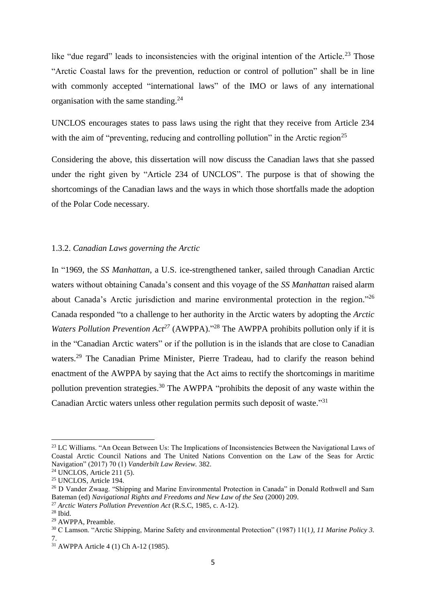like "due regard" leads to inconsistencies with the original intention of the Article.<sup>23</sup> Those "Arctic Coastal laws for the prevention, reduction or control of pollution" shall be in line with commonly accepted "international laws" of the IMO or laws of any international organisation with the same standing.<sup>24</sup>

UNCLOS encourages states to pass laws using the right that they receive from Article 234 with the aim of "preventing, reducing and controlling pollution" in the Arctic region<sup>25</sup>

Considering the above, this dissertation will now discuss the Canadian laws that she passed under the right given by "Article 234 of UNCLOS". The purpose is that of showing the shortcomings of the Canadian laws and the ways in which those shortfalls made the adoption of the Polar Code necessary.

### 1.3.2. *Canadian Laws governing the Arctic*

In "1969, the *SS Manhattan*, a U.S. ice-strengthened tanker, sailed through Canadian Arctic waters without obtaining Canada's consent and this voyage of the *SS Manhattan* raised alarm about Canada's Arctic jurisdiction and marine environmental protection in the region."<sup>26</sup> Canada responded "to a challenge to her authority in the Arctic waters by adopting the *Arctic Waters Pollution Prevention Act<sup>27</sup>* (AWPPA)."<sup>28</sup> The AWPPA prohibits pollution only if it is in the "Canadian Arctic waters" or if the pollution is in the islands that are close to Canadian waters.<sup>29</sup> The Canadian Prime Minister, Pierre Tradeau, had to clarify the reason behind enactment of the AWPPA by saying that the Act aims to rectify the shortcomings in maritime pollution prevention strategies.<sup>30</sup> The AWPPA "prohibits the deposit of any waste within the Canadian Arctic waters unless other regulation permits such deposit of waste."31

<sup>&</sup>lt;sup>23</sup> LC Williams. "An Ocean Between Us: The Implications of Inconsistencies Between the Navigational Laws of Coastal Arctic Council Nations and The United Nations Convention on the Law of the Seas for Arctic Navigation" (2017) 70 (1) *Vanderbilt Law Review.* 382.

 $24$  UNCLOS, Article 211 (5).

<sup>25</sup> UNCLOS, Article 194.

<sup>&</sup>lt;sup>26</sup> D Vander Zwaag. "Shipping and Marine Environmental Protection in Canada" in Donald Rothwell and Sam Bateman (ed) *Navigational Rights and Freedoms and New Law of the Sea* (2000) 209.

<sup>27</sup> *Arctic Waters Pollution Prevention Act* (R.S.C, 1985, c. A-12).

<sup>28</sup> Ibid.

<sup>29</sup> AWPPA, Preamble.

<sup>30</sup> C Lamson. "Arctic Shipping, Marine Safety and environmental Protection" (1987) 11(1*), 11 Marine Policy 3.*  7.

<sup>31</sup> AWPPA Article 4 (1) Ch A-12 (1985).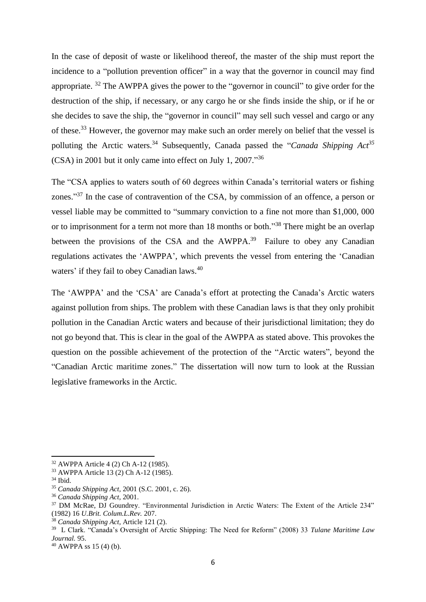In the case of deposit of waste or likelihood thereof, the master of the ship must report the incidence to a "pollution prevention officer" in a way that the governor in council may find appropriate.  $32$  The AWPPA gives the power to the "governor in council" to give order for the destruction of the ship, if necessary, or any cargo he or she finds inside the ship, or if he or she decides to save the ship, the "governor in council" may sell such vessel and cargo or any of these.<sup>33</sup> However, the governor may make such an order merely on belief that the vessel is polluting the Arctic waters.<sup>34</sup> Subsequently, Canada passed the "*Canada Shipping Act<sup>35</sup>* (CSA) in 2001 but it only came into effect on July 1, 2007." 36

The "CSA applies to waters south of 60 degrees within Canada's territorial waters or fishing zones."<sup>37</sup> In the case of contravention of the CSA, by commission of an offence, a person or vessel liable may be committed to "summary conviction to a fine not more than \$1,000, 000 or to imprisonment for a term not more than 18 months or both."<sup>38</sup> There might be an overlap between the provisions of the CSA and the  $AWPPA$ <sup>39</sup> Failure to obey any Canadian regulations activates the 'AWPPA', which prevents the vessel from entering the 'Canadian waters' if they fail to obey Canadian laws.<sup>40</sup>

The 'AWPPA' and the 'CSA' are Canada's effort at protecting the Canada's Arctic waters against pollution from ships. The problem with these Canadian laws is that they only prohibit pollution in the Canadian Arctic waters and because of their jurisdictional limitation; they do not go beyond that. This is clear in the goal of the AWPPA as stated above. This provokes the question on the possible achievement of the protection of the "Arctic waters", beyond the "Canadian Arctic maritime zones." The dissertation will now turn to look at the Russian legislative frameworks in the Arctic.

<sup>32</sup> AWPPA Article 4 (2) Ch A-12 (1985).

<sup>33</sup> AWPPA Article 13 (2) Ch A-12 (1985).

<sup>34</sup> Ibid.

<sup>35</sup> *Canada Shipping Act,* 2001 (S.C. 2001, c. 26).

<sup>36</sup> *Canada Shipping Act,* 2001.

<sup>37</sup> DM McRae, DJ Goundrey. "Environmental Jurisdiction in Arctic Waters: The Extent of the Article 234" (1982) 16 *U.Brit. Colum.L.Rev.* 207.

<sup>38</sup> *Canada Shipping Act,* Article 121 (2).

<sup>39</sup> L Clark. "Canada's Oversight of Arctic Shipping: The Need for Reform" (2008) 33 *Tulane Maritime Law Journal.* 95.

 $40$  AWPPA ss 15 (4) (b).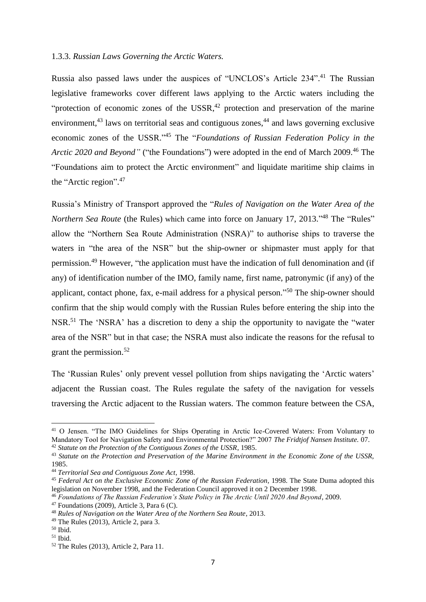### 1.3.3. *Russian Laws Governing the Arctic Waters.*

Russia also passed laws under the auspices of "UNCLOS's Article 234". <sup>41</sup> The Russian legislative frameworks cover different laws applying to the Arctic waters including the "protection of economic zones of the USSR, $42$  protection and preservation of the marine environment,<sup>43</sup> laws on territorial seas and contiguous zones,<sup>44</sup> and laws governing exclusive economic zones of the USSR."<sup>45</sup> The "*Foundations of Russian Federation Policy in the Arctic 2020 and Beyond"* ("the Foundations") were adopted in the end of March 2009.<sup>46</sup> The "Foundations aim to protect the Arctic environment" and liquidate maritime ship claims in the "Arctic region". 47

Russia's Ministry of Transport approved the "*Rules of Navigation on the Water Area of the Northern Sea Route* (the Rules) which came into force on January 17, 2013."<sup>48</sup> The "Rules" allow the "Northern Sea Route Administration (NSRA)" to authorise ships to traverse the waters in "the area of the NSR" but the ship-owner or shipmaster must apply for that permission.<sup>49</sup> However, "the application must have the indication of full denomination and (if any) of identification number of the IMO, family name, first name, patronymic (if any) of the applicant, contact phone, fax, e-mail address for a physical person."<sup>50</sup> The ship-owner should confirm that the ship would comply with the Russian Rules before entering the ship into the NSR.<sup>51</sup> The 'NSRA' has a discretion to deny a ship the opportunity to navigate the "water area of the NSR" but in that case; the NSRA must also indicate the reasons for the refusal to grant the permission.<sup>52</sup>

The 'Russian Rules' only prevent vessel pollution from ships navigating the 'Arctic waters' adjacent the Russian coast. The Rules regulate the safety of the navigation for vessels traversing the Arctic adjacent to the Russian waters. The common feature between the CSA,

<sup>41</sup> O Jensen. "The IMO Guidelines for Ships Operating in Arctic Ice-Covered Waters: From Voluntary to Mandatory Tool for Navigation Safety and Environmental Protection?" 2007 *The Fridtjof Nansen Institute.* 07. <sup>42</sup> *Statute on the Protection of the Contiguous Zones of the USSR*, 1985.

<sup>43</sup> *Statute on the Protection and Preservation of the Marine Environment in the Economic Zone of the USSR,* 1985.

<sup>44</sup> *Territorial Sea and Contiguous Zone Act*, 1998.

<sup>45</sup> *Federal Act on the Exclusive Economic Zone of the Russian Federation*, 1998. The State Duma adopted this legislation on November 1998, and the Federation Council approved it on 2 December 1998.

<sup>46</sup> *Foundations of The Russian Federation's State Policy in The Arctic Until 2020 And Beyond*, 2009.

 $47$  Foundations (2009), Article 3, Para 6 (C).

<sup>48</sup> *Rules of Navigation on the Water Area of the Northern Sea Route*, 2013.

<sup>49</sup> The Rules (2013), Article 2, para 3.

 $50$  Ibid.

 $51$  Ibid.

<sup>52</sup> The Rules (2013), Article 2, Para 11.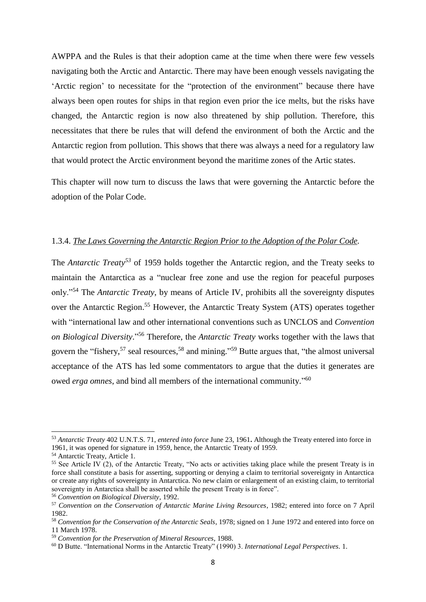AWPPA and the Rules is that their adoption came at the time when there were few vessels navigating both the Arctic and Antarctic. There may have been enough vessels navigating the 'Arctic region' to necessitate for the "protection of the environment" because there have always been open routes for ships in that region even prior the ice melts, but the risks have changed, the Antarctic region is now also threatened by ship pollution. Therefore, this necessitates that there be rules that will defend the environment of both the Arctic and the Antarctic region from pollution. This shows that there was always a need for a regulatory law that would protect the Arctic environment beyond the maritime zones of the Artic states.

This chapter will now turn to discuss the laws that were governing the Antarctic before the adoption of the Polar Code.

### 1.3.4. *The Laws Governing the Antarctic Region Prior to the Adoption of the Polar Code.*

The *Antarctic Treaty<sup>53</sup>* of 1959 holds together the Antarctic region, and the Treaty seeks to maintain the Antarctica as a "nuclear free zone and use the region for peaceful purposes only."<sup>54</sup> The *Antarctic Treaty*, by means of Article IV, prohibits all the sovereignty disputes over the Antarctic Region.<sup>55</sup> However, the Antarctic Treaty System (ATS) operates together with "international law and other international conventions such as UNCLOS and *Convention on Biological Diversity*." <sup>56</sup> Therefore, the *Antarctic Treaty* works together with the laws that govern the "fishery,<sup>57</sup> seal resources,<sup>58</sup> and mining."<sup>59</sup> Butte argues that, "the almost universal acceptance of the ATS has led some commentators to argue that the duties it generates are owed *erga omnes*, and bind all members of the international community."<sup>60</sup>

<sup>53</sup> *Antarctic Treaty* 402 U.N.T.S. 71, *entered into force* June 23, 1961**.** Although the Treaty entered into force in 1961, it was opened for signature in 1959, hence, the Antarctic Treaty of 1959.

<sup>54</sup> Antarctic Treaty, Article 1.

<sup>&</sup>lt;sup>55</sup> See Article IV (2), of the Antarctic Treaty, "No acts or activities taking place while the present Treaty is in force shall constitute a basis for asserting, supporting or denying a claim to territorial sovereignty in Antarctica or create any rights of sovereignty in Antarctica. No new claim or enlargement of an existing claim, to territorial sovereignty in Antarctica shall be asserted while the present Treaty is in force".

<sup>56</sup> *Convention on Biological Diversity*, 1992.

<sup>57</sup> *Convention on the Conservation of Antarctic Marine Living Resources*, 1982; entered into force on 7 April 1982.

<sup>58</sup> *Convention for the Conservation of the Antarctic Seals*, 1978; signed on 1 June 1972 and entered into force on 11 March 1978.

<sup>59</sup> *Convention for the Preservation of Mineral Resources*, 1988.

<sup>60</sup> D Butte. "International Norms in the Antarctic Treaty" (1990) 3. *International Legal Perspectives*. 1.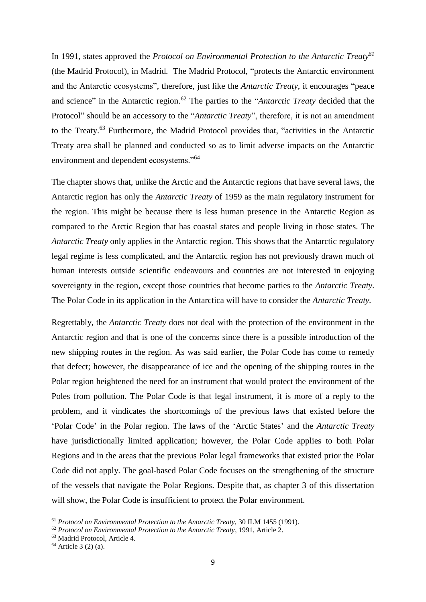In 1991, states approved the *Protocol on Environmental Protection to the Antarctic Treaty<sup>61</sup>* (the Madrid Protocol), in Madrid. The Madrid Protocol, "protects the Antarctic environment and the Antarctic ecosystems", therefore, just like the *Antarctic Treaty*, it encourages "peace and science" in the Antarctic region. <sup>62</sup> The parties to the "*Antarctic Treaty* decided that the Protocol" should be an accessory to the "*Antarctic Treaty*", therefore, it is not an amendment to the Treaty.<sup>63</sup> Furthermore, the Madrid Protocol provides that, "activities in the Antarctic Treaty area shall be planned and conducted so as to limit adverse impacts on the Antarctic environment and dependent ecosystems."<sup>64</sup>

The chapter shows that, unlike the Arctic and the Antarctic regions that have several laws, the Antarctic region has only the *Antarctic Treaty* of 1959 as the main regulatory instrument for the region. This might be because there is less human presence in the Antarctic Region as compared to the Arctic Region that has coastal states and people living in those states. The *Antarctic Treaty* only applies in the Antarctic region. This shows that the Antarctic regulatory legal regime is less complicated, and the Antarctic region has not previously drawn much of human interests outside scientific endeavours and countries are not interested in enjoying sovereignty in the region, except those countries that become parties to the *Antarctic Treaty*. The Polar Code in its application in the Antarctica will have to consider the *Antarctic Treaty.*

Regrettably, the *Antarctic Treaty* does not deal with the protection of the environment in the Antarctic region and that is one of the concerns since there is a possible introduction of the new shipping routes in the region. As was said earlier, the Polar Code has come to remedy that defect; however, the disappearance of ice and the opening of the shipping routes in the Polar region heightened the need for an instrument that would protect the environment of the Poles from pollution. The Polar Code is that legal instrument, it is more of a reply to the problem, and it vindicates the shortcomings of the previous laws that existed before the 'Polar Code' in the Polar region. The laws of the 'Arctic States' and the *Antarctic Treaty* have jurisdictionally limited application; however, the Polar Code applies to both Polar Regions and in the areas that the previous Polar legal frameworks that existed prior the Polar Code did not apply. The goal-based Polar Code focuses on the strengthening of the structure of the vessels that navigate the Polar Regions. Despite that, as chapter 3 of this dissertation will show, the Polar Code is insufficient to protect the Polar environment.

<sup>61</sup> *Protocol on Environmental Protection to the Antarctic Treaty,* 30 ILM 1455 (1991).

<sup>62</sup> *Protocol on Environmental Protection to the Antarctic Treaty*, 1991, Article 2.

<sup>63</sup> Madrid Protocol, Article 4.

 $64$  Article 3 (2) (a).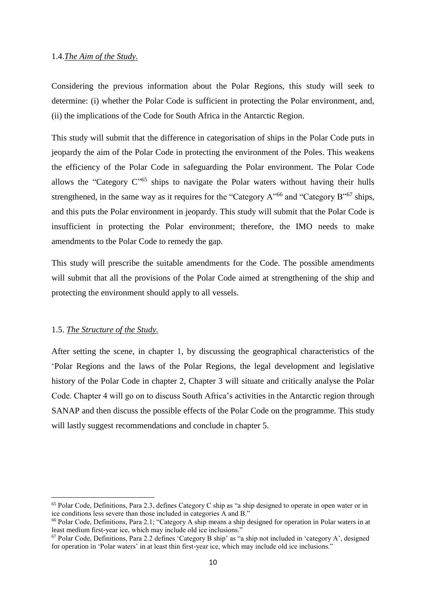### 1.4.*The Aim of the Study.*

Considering the previous information about the Polar Regions, this study will seek to determine: (i) whether the Polar Code is sufficient in protecting the Polar environment, and, (ii) the implications of the Code for South Africa in the Antarctic Region.

This study will submit that the difference in categorisation of ships in the Polar Code puts in jeopardy the aim of the Polar Code in protecting the environment of the Poles. This weakens the efficiency of the Polar Code in safeguarding the Polar environment. The Polar Code allows the "Category  $C^{5}$ " ships to navigate the Polar waters without having their hulls strengthened, in the same way as it requires for the "Category  $A^{0.66}$  and "Category B"<sup>67</sup> ships, and this puts the Polar environment in jeopardy. This study will submit that the Polar Code is insufficient in protecting the Polar environment; therefore, the IMO needs to make amendments to the Polar Code to remedy the gap.

This study will prescribe the suitable amendments for the Code. The possible amendments will submit that all the provisions of the Polar Code aimed at strengthening of the ship and protecting the environment should apply to all vessels.

### 1.5. *The Structure of the Study.*

**.** 

After setting the scene, in chapter 1, by discussing the geographical characteristics of the 'Polar Regions and the laws of the Polar Regions, the legal development and legislative history of the Polar Code in chapter 2, Chapter 3 will situate and critically analyse the Polar Code. Chapter 4 will go on to discuss South Africa's activities in the Antarctic region through SANAP and then discuss the possible effects of the Polar Code on the programme. This study will lastly suggest recommendations and conclude in chapter 5.

<sup>65</sup> Polar Code, Definitions, Para 2.3, defines Category C ship as "a ship designed to operate in open water or in ice conditions less severe than those included in categories A and B."

<sup>66</sup> Polar Code, Definitions, Para 2.1; "Category A ship means a ship designed for operation in Polar waters in at least medium first-year ice, which may include old ice inclusions."

<sup>67</sup> Polar Code, Definitions, Para 2.2 defines 'Category B ship' as "a ship not included in 'category A', designed for operation in 'Polar waters' in at least thin first-year ice, which may include old ice inclusions."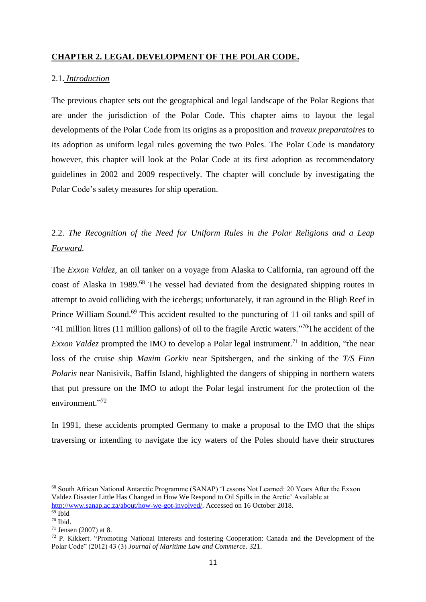# **CHAPTER 2. LEGAL DEVELOPMENT OF THE POLAR CODE.**

### 2.1. *Introduction*

The previous chapter sets out the geographical and legal landscape of the Polar Regions that are under the jurisdiction of the Polar Code. This chapter aims to layout the legal developments of the Polar Code from its origins as a proposition and *traveux preparatoires* to its adoption as uniform legal rules governing the two Poles. The Polar Code is mandatory however, this chapter will look at the Polar Code at its first adoption as recommendatory guidelines in 2002 and 2009 respectively. The chapter will conclude by investigating the Polar Code's safety measures for ship operation.

# 2.2. *The Recognition of the Need for Uniform Rules in the Polar Religions and a Leap Forward.*

The *Exxon Valdez*, an oil tanker on a voyage from Alaska to California, ran aground off the coast of Alaska in 1989.<sup>68</sup> The vessel had deviated from the designated shipping routes in attempt to avoid colliding with the icebergs; unfortunately, it ran aground in the Bligh Reef in Prince William Sound.<sup>69</sup> This accident resulted to the puncturing of 11 oil tanks and spill of "41 million litres (11 million gallons) of oil to the fragile Arctic waters."<sup>70</sup>The accident of the *Exxon Valdez* prompted the IMO to develop a Polar legal instrument.<sup>71</sup> In addition, "the near loss of the cruise ship *Maxim Gorkiv* near Spitsbergen, and the sinking of the *T/S Finn Polaris* near Nanisivik, Baffin Island, highlighted the dangers of shipping in northern waters that put pressure on the IMO to adopt the Polar legal instrument for the protection of the environment."<sup>72</sup>

In 1991, these accidents prompted Germany to make a proposal to the IMO that the ships traversing or intending to navigate the icy waters of the Poles should have their structures

<sup>&</sup>lt;sup>68</sup> South African National Antarctic Programme (SANAP) 'Lessons Not Learned: 20 Years After the Exxon Valdez Disaster Little Has Changed in How We Respond to Oil Spills in the Arctic' Available at [http://www.sanap.ac.za/about/how-we-got-involved/.](http://www.sanap.ac.za/about/how-we-got-involved/) Accessed on 16 October 2018.

 $69$  Ibid  $70$  Ibid.

<sup>71</sup> Jensen (2007) at 8.

<sup>72</sup> P. Kikkert. "Promoting National Interests and fostering Cooperation: Canada and the Development of the Polar Code" (2012) 43 (3) *Journal of Maritime Law and Commerce.* 321.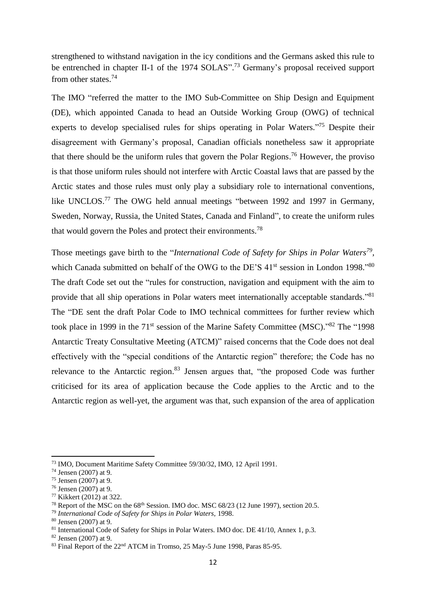strengthened to withstand navigation in the icy conditions and the Germans asked this rule to be entrenched in chapter II-1 of the 1974 SOLAS".<sup>73</sup> Germany's proposal received support from other states.<sup>74</sup>

The IMO "referred the matter to the IMO Sub-Committee on Ship Design and Equipment (DE), which appointed Canada to head an Outside Working Group (OWG) of technical experts to develop specialised rules for ships operating in Polar Waters."<sup>75</sup> Despite their disagreement with Germany's proposal, Canadian officials nonetheless saw it appropriate that there should be the uniform rules that govern the Polar Regions. <sup>76</sup> However, the proviso is that those uniform rules should not interfere with Arctic Coastal laws that are passed by the Arctic states and those rules must only play a subsidiary role to international conventions, like UNCLOS.<sup>77</sup> The OWG held annual meetings "between 1992 and 1997 in Germany, Sweden, Norway, Russia, the United States, Canada and Finland", to create the uniform rules that would govern the Poles and protect their environments.<sup>78</sup>

Those meetings gave birth to the "*International Code of Safety for Ships in Polar Waters<sup>79</sup> ,* which Canada submitted on behalf of the OWG to the DE'S 41<sup>st</sup> session in London 1998."80 The draft Code set out the "rules for construction, navigation and equipment with the aim to provide that all ship operations in Polar waters meet internationally acceptable standards."<sup>81</sup> The "DE sent the draft Polar Code to IMO technical committees for further review which took place in 1999 in the 71<sup>st</sup> session of the Marine Safety Committee (MSC)."<sup>82</sup> The "1998 Antarctic Treaty Consultative Meeting (ATCM)" raised concerns that the Code does not deal effectively with the "special conditions of the Antarctic region" therefore; the Code has no relevance to the Antarctic region. $83$  Jensen argues that, "the proposed Code was further criticised for its area of application because the Code applies to the Arctic and to the Antarctic region as well-yet, the argument was that, such expansion of the area of application

<sup>73</sup> IMO, Document Maritime Safety Committee 59/30/32, IMO, 12 April 1991.

<sup>74</sup> Jensen (2007) at 9.

<sup>75</sup> Jensen (2007) at 9.

<sup>76</sup> Jensen (2007) at 9.

<sup>77</sup> Kikkert (2012) at 322.

<sup>&</sup>lt;sup>78</sup> Report of the MSC on the  $68<sup>th</sup>$  Session. IMO doc. MSC  $68/23$  (12 June 1997), section 20.5.

<sup>79</sup> *International Code of Safety for Ships in Polar Waters,* 1998.

<sup>80</sup> Jensen (2007) at 9.

<sup>81</sup> International Code of Safety for Ships in Polar Waters. IMO doc. DE 41/10, Annex 1, p.3.

<sup>82</sup> Jensen (2007) at 9.

<sup>83</sup> Final Report of the 22<sup>nd</sup> ATCM in Tromso, 25 May-5 June 1998, Paras 85-95.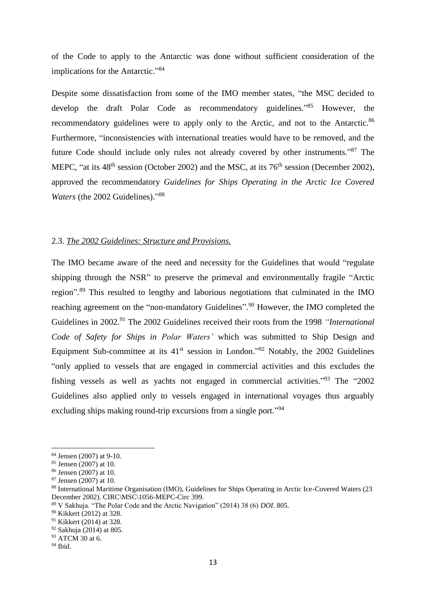of the Code to apply to the Antarctic was done without sufficient consideration of the implications for the Antarctic."<sup>84</sup>

Despite some dissatisfaction from some of the IMO member states, "the MSC decided to develop the draft Polar Code as recommendatory guidelines."<sup>85</sup> However, the recommendatory guidelines were to apply only to the Arctic, and not to the Antarctic.<sup>86</sup> Furthermore, "inconsistencies with international treaties would have to be removed, and the future Code should include only rules not already covered by other instruments."<sup>87</sup> The MEPC, "at its  $48<sup>th</sup>$  session (October 2002) and the MSC, at its  $76<sup>th</sup>$  session (December 2002), approved the recommendatory *Guidelines for Ships Operating in the Arctic Ice Covered*  Waters (the 2002 Guidelines)."<sup>88</sup>

### 2.3. *The 2002 Guidelines: Structure and Provisions.*

The IMO became aware of the need and necessity for the Guidelines that would "regulate shipping through the NSR" to preserve the primeval and environmentally fragile "Arctic region".<sup>89</sup> This resulted to lengthy and laborious negotiations that culminated in the IMO reaching agreement on the "non-mandatory Guidelines".<sup>90</sup> However, the IMO completed the Guidelines in 2002. <sup>91</sup> The 2002 Guidelines received their roots from the 1998 *"International Code of Safety for Ships in Polar Waters'* which was submitted to Ship Design and Equipment Sub-committee at its  $41<sup>st</sup>$  session in London."<sup>92</sup> Notably, the 2002 Guidelines "only applied to vessels that are engaged in commercial activities and this excludes the fishing vessels as well as yachts not engaged in commercial activities."<sup>93</sup> The "2002 Guidelines also applied only to vessels engaged in international voyages thus arguably excluding ships making round-trip excursions from a single port."<sup>94</sup>

 $\overline{\phantom{a}}$ 

<sup>84</sup> Jensen (2007) at 9-10.

<sup>85</sup> Jensen (2007) at 10.

<sup>86</sup> Jensen (2007) at 10.

<sup>87</sup> Jensen (2007) at 10.

<sup>88</sup> International Maritime Organisation (IMO), Guidelines for Ships Operating in Arctic Ice-Covered Waters (23 December 2002). CIRC\MSC\1056-MEPC-Circ 399.

<sup>89</sup> V Sakhuja. "The Polar Code and the Arctic Navigation" (2014) 38 (6) *DOI*. 805.

<sup>90</sup> Kikkert (2012) at 328.

<sup>91</sup> Kikkert (2014) at 328.

<sup>92</sup> Sakhuja (2014) at 805.

<sup>&</sup>lt;sup>93</sup> ATCM 30 at 6.

 $94$  Ibid.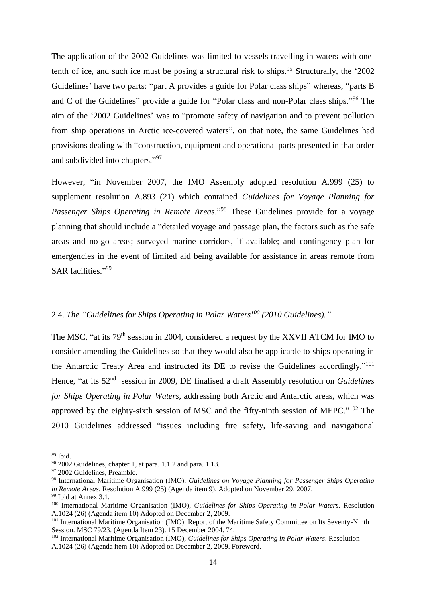The application of the 2002 Guidelines was limited to vessels travelling in waters with onetenth of ice, and such ice must be posing a structural risk to ships.<sup>95</sup> Structurally, the '2002 Guidelines' have two parts: "part A provides a guide for Polar class ships" whereas, "parts B and C of the Guidelines" provide a guide for "Polar class and non-Polar class ships."<sup>96</sup> The aim of the '2002 Guidelines' was to "promote safety of navigation and to prevent pollution from ship operations in Arctic ice-covered waters", on that note, the same Guidelines had provisions dealing with "construction, equipment and operational parts presented in that order and subdivided into chapters." 97

However, "in November 2007, the IMO Assembly adopted resolution A.999 (25) to supplement resolution A.893 (21) which contained *Guidelines for Voyage Planning for Passenger Ships Operating in Remote Areas*." <sup>98</sup> These Guidelines provide for a voyage planning that should include a "detailed voyage and passage plan, the factors such as the safe areas and no-go areas; surveyed marine corridors, if available; and contingency plan for emergencies in the event of limited aid being available for assistance in areas remote from SAR facilities."99

# 2.4. *The "Guidelines for Ships Operating in Polar Waters<sup>100</sup> (2010 Guidelines)."*

The MSC, "at its 79th session in 2004, considered a request by the XXVII ATCM for IMO to consider amending the Guidelines so that they would also be applicable to ships operating in the Antarctic Treaty Area and instructed its DE to revise the Guidelines accordingly."<sup>101</sup> Hence, "at its 52<sup>nd</sup> session in 2009, DE finalised a draft Assembly resolution on *Guidelines for Ships Operating in Polar Waters*, addressing both Arctic and Antarctic areas, which was approved by the eighty-sixth session of MSC and the fifty-ninth session of MEPC."<sup>102</sup> The 2010 Guidelines addressed "issues including fire safety, life-saving and navigational

 $\overline{\phantom{a}}$ 

*<sup>95</sup>* Ibid.

<sup>96</sup> 2002 Guidelines, chapter 1, at para. 1.1.2 and para. 1.13.

<sup>&</sup>lt;sup>97</sup> 2002 Guidelines, Preamble.

<sup>98</sup> International Maritime Organisation (IMO), *Guidelines on Voyage Planning for Passenger Ships Operating in Remote Areas*, Resolution A.999 (25) (Agenda item 9), Adopted on November 29, 2007.

<sup>99</sup> Ibid at Annex 3.1.

<sup>100</sup> International Maritime Organisation (IMO), *Guidelines for Ships Operating in Polar Waters*. Resolution A.1024 (26) (Agenda item 10) Adopted on December 2, 2009.

<sup>101</sup> International Maritime Organisation (IMO). Report of the Maritime Safety Committee on Its Seventy-Ninth Session. MSC 79/23. (Agenda Item 23). 15 December 2004. 74.

<sup>102</sup> International Maritime Organisation (IMO), *Guidelines for Ships Operating in Polar Waters*. Resolution A.1024 (26) (Agenda item 10) Adopted on December 2, 2009. Foreword.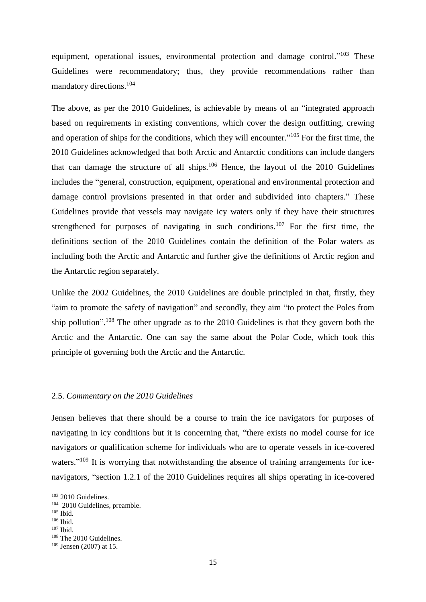equipment, operational issues, environmental protection and damage control."<sup>103</sup> These Guidelines were recommendatory; thus, they provide recommendations rather than mandatory directions.<sup>104</sup>

The above, as per the 2010 Guidelines, is achievable by means of an "integrated approach based on requirements in existing conventions, which cover the design outfitting, crewing and operation of ships for the conditions, which they will encounter."<sup>105</sup> For the first time, the 2010 Guidelines acknowledged that both Arctic and Antarctic conditions can include dangers that can damage the structure of all ships.<sup>106</sup> Hence, the layout of the 2010 Guidelines includes the "general, construction, equipment, operational and environmental protection and damage control provisions presented in that order and subdivided into chapters." These Guidelines provide that vessels may navigate icy waters only if they have their structures strengthened for purposes of navigating in such conditions.<sup>107</sup> For the first time, the definitions section of the 2010 Guidelines contain the definition of the Polar waters as including both the Arctic and Antarctic and further give the definitions of Arctic region and the Antarctic region separately.

Unlike the 2002 Guidelines, the 2010 Guidelines are double principled in that, firstly, they "aim to promote the safety of navigation" and secondly, they aim "to protect the Poles from ship pollution".<sup>108</sup> The other upgrade as to the  $2010$  Guidelines is that they govern both the Arctic and the Antarctic. One can say the same about the Polar Code, which took this principle of governing both the Arctic and the Antarctic.

### 2.5. *Commentary on the 2010 Guidelines*

Jensen believes that there should be a course to train the ice navigators for purposes of navigating in icy conditions but it is concerning that, "there exists no model course for ice navigators or qualification scheme for individuals who are to operate vessels in ice-covered waters."<sup>109</sup> It is worrying that notwithstanding the absence of training arrangements for icenavigators, "section 1.2.1 of the 2010 Guidelines requires all ships operating in ice-covered

<sup>103</sup> 2010 Guidelines.

<sup>104</sup> 2010 Guidelines, preamble.

<sup>105</sup> Ibid.

<sup>106</sup> Ibid.

<sup>107</sup> Ibid.

<sup>108</sup> The 2010 Guidelines.

 $109$  Jensen (2007) at 15.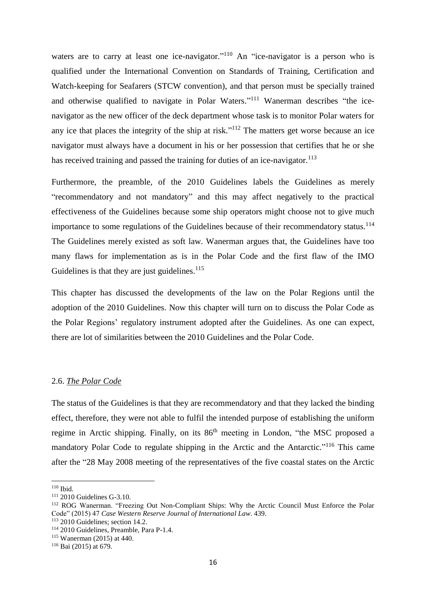waters are to carry at least one ice-navigator."<sup>110</sup> An "ice-navigator is a person who is qualified under the International Convention on Standards of Training, Certification and Watch-keeping for Seafarers (STCW convention), and that person must be specially trained and otherwise qualified to navigate in Polar Waters."<sup>111</sup> Wanerman describes "the icenavigator as the new officer of the deck department whose task is to monitor Polar waters for any ice that places the integrity of the ship at risk."<sup>112</sup> The matters get worse because an ice navigator must always have a document in his or her possession that certifies that he or she has received training and passed the training for duties of an ice-navigator.<sup>113</sup>

Furthermore, the preamble, of the 2010 Guidelines labels the Guidelines as merely "recommendatory and not mandatory" and this may affect negatively to the practical effectiveness of the Guidelines because some ship operators might choose not to give much importance to some regulations of the Guidelines because of their recommendatory status.<sup>114</sup> The Guidelines merely existed as soft law. Wanerman argues that, the Guidelines have too many flaws for implementation as is in the Polar Code and the first flaw of the IMO Guidelines is that they are just guidelines.<sup>115</sup>

This chapter has discussed the developments of the law on the Polar Regions until the adoption of the 2010 Guidelines. Now this chapter will turn on to discuss the Polar Code as the Polar Regions' regulatory instrument adopted after the Guidelines. As one can expect, there are lot of similarities between the 2010 Guidelines and the Polar Code.

### 2.6. *The Polar Code*

The status of the Guidelines is that they are recommendatory and that they lacked the binding effect, therefore, they were not able to fulfil the intended purpose of establishing the uniform regime in Arctic shipping. Finally, on its 86<sup>th</sup> meeting in London, "the MSC proposed a mandatory Polar Code to regulate shipping in the Arctic and the Antarctic."<sup>116</sup> This came after the "28 May 2008 meeting of the representatives of the five coastal states on the Arctic

1

 $113$  2010 Guidelines; section 14.2.

<sup>110</sup> Ibid.

<sup>111</sup> 2010 Guidelines G-3.10.

<sup>112</sup> ROG Wanerman. "Freezing Out Non-Compliant Ships: Why the Arctic Council Must Enforce the Polar Code" (2015) 47 *Case Western Reserve Journal of International Law*. 439.

<sup>114</sup> 2010 Guidelines, Preamble, Para P-1.4.

<sup>115</sup> Wanerman (2015) at 440.

<sup>116</sup> Bai (2015) at 679.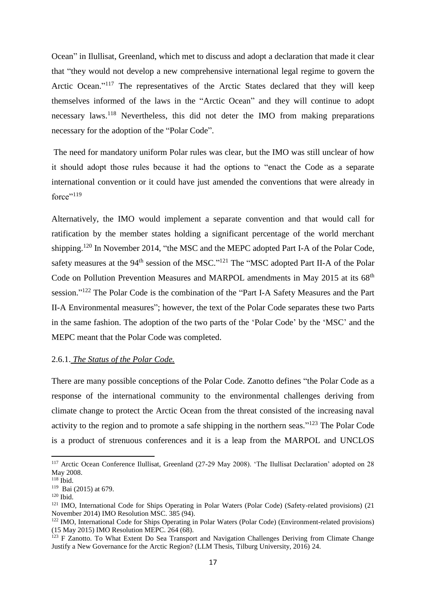Ocean" in Ilullisat, Greenland, which met to discuss and adopt a declaration that made it clear that "they would not develop a new comprehensive international legal regime to govern the Arctic Ocean."<sup>117</sup> The representatives of the Arctic States declared that they will keep themselves informed of the laws in the "Arctic Ocean" and they will continue to adopt necessary laws.<sup>118</sup> Nevertheless, this did not deter the IMO from making preparations necessary for the adoption of the "Polar Code".

The need for mandatory uniform Polar rules was clear, but the IMO was still unclear of how it should adopt those rules because it had the options to "enact the Code as a separate international convention or it could have just amended the conventions that were already in force"<sup>119</sup>

Alternatively, the IMO would implement a separate convention and that would call for ratification by the member states holding a significant percentage of the world merchant shipping.<sup>120</sup> In November 2014, "the MSC and the MEPC adopted Part I-A of the Polar Code, safety measures at the  $94<sup>th</sup>$  session of the MSC."<sup>121</sup> The "MSC adopted Part II-A of the Polar Code on Pollution Prevention Measures and MARPOL amendments in May 2015 at its 68<sup>th</sup> session."<sup>122</sup> The Polar Code is the combination of the "Part I-A Safety Measures and the Part II-A Environmental measures"; however, the text of the Polar Code separates these two Parts in the same fashion. The adoption of the two parts of the 'Polar Code' by the 'MSC' and the MEPC meant that the Polar Code was completed.

### 2.6.1. *The Status of the Polar Code.*

There are many possible conceptions of the Polar Code. Zanotto defines "the Polar Code as a response of the international community to the environmental challenges deriving from climate change to protect the Arctic Ocean from the threat consisted of the increasing naval activity to the region and to promote a safe shipping in the northern seas."<sup>123</sup> The Polar Code is a product of strenuous conferences and it is a leap from the MARPOL and UNCLOS

<sup>117</sup> Arctic Ocean Conference Ilullisat, Greenland (27-29 May 2008). 'The Ilullisat Declaration' adopted on 28 May 2008.

 $118$  Ibid.

<sup>119</sup> Bai (2015) at 679.

 $120$  Ibid.

<sup>121</sup> IMO, International Code for Ships Operating in Polar Waters (Polar Code) (Safety-related provisions) (21 November 2014) IMO Resolution MSC. 385 (94).

<sup>&</sup>lt;sup>122</sup> IMO, International Code for Ships Operating in Polar Waters (Polar Code) (Environment-related provisions) (15 May 2015) IMO Resolution MEPC. 264 (68).

<sup>&</sup>lt;sup>123</sup> F Zanotto. To What Extent Do Sea Transport and Navigation Challenges Deriving from Climate Change Justify a New Governance for the Arctic Region? (LLM Thesis, Tilburg University, 2016) 24.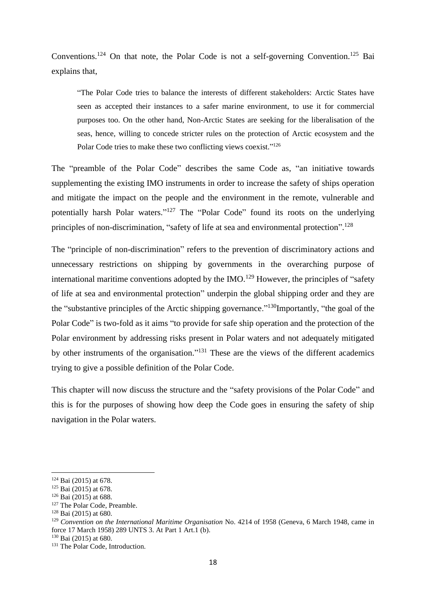Conventions.<sup>124</sup> On that note, the Polar Code is not a self-governing Convention.<sup>125</sup> Bai explains that,

"The Polar Code tries to balance the interests of different stakeholders: Arctic States have seen as accepted their instances to a safer marine environment, to use it for commercial purposes too. On the other hand, Non-Arctic States are seeking for the liberalisation of the seas, hence, willing to concede stricter rules on the protection of Arctic ecosystem and the Polar Code tries to make these two conflicting views coexist."<sup>126</sup>

The "preamble of the Polar Code" describes the same Code as, "an initiative towards supplementing the existing IMO instruments in order to increase the safety of ships operation and mitigate the impact on the people and the environment in the remote, vulnerable and potentially harsh Polar waters."<sup>127</sup> The "Polar Code" found its roots on the underlying principles of non-discrimination, "safety of life at sea and environmental protection".<sup>128</sup>

The "principle of non-discrimination" refers to the prevention of discriminatory actions and unnecessary restrictions on shipping by governments in the overarching purpose of international maritime conventions adopted by the IMO.<sup>129</sup> However, the principles of "safety of life at sea and environmental protection" underpin the global shipping order and they are the "substantive principles of the Arctic shipping governance."<sup>130</sup>Importantly, "the goal of the Polar Code" is two-fold as it aims "to provide for safe ship operation and the protection of the Polar environment by addressing risks present in Polar waters and not adequately mitigated by other instruments of the organisation."<sup>131</sup> These are the views of the different academics trying to give a possible definition of the Polar Code.

This chapter will now discuss the structure and the "safety provisions of the Polar Code" and this is for the purposes of showing how deep the Code goes in ensuring the safety of ship navigation in the Polar waters.

 $\overline{\phantom{a}}$ 

<sup>124</sup> Bai (2015) at 678.

<sup>&</sup>lt;sup>125</sup> Bai (2015) at 678.

<sup>126</sup> Bai (2015) at 688.

<sup>&</sup>lt;sup>127</sup> The Polar Code, Preamble.

<sup>128</sup> Bai (2015) at 680.

<sup>&</sup>lt;sup>129</sup> Convention on the International Maritime Organisation No. 4214 of 1958 (Geneva, 6 March 1948, came in force 17 March 1958) 289 UNTS 3. At Part 1 Art.1 (b).

<sup>130</sup> Bai (2015) at 680.

<sup>&</sup>lt;sup>131</sup> The Polar Code, Introduction.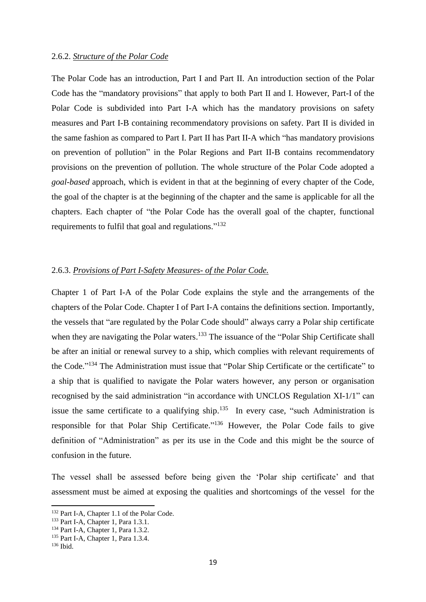The Polar Code has an introduction, Part I and Part II. An introduction section of the Polar Code has the "mandatory provisions" that apply to both Part II and I. However, Part-I of the Polar Code is subdivided into Part I-A which has the mandatory provisions on safety measures and Part I-B containing recommendatory provisions on safety. Part II is divided in the same fashion as compared to Part I. Part II has Part II-A which "has mandatory provisions on prevention of pollution" in the Polar Regions and Part II-B contains recommendatory provisions on the prevention of pollution. The whole structure of the Polar Code adopted a *goal-based* approach, which is evident in that at the beginning of every chapter of the Code, the goal of the chapter is at the beginning of the chapter and the same is applicable for all the chapters. Each chapter of "the Polar Code has the overall goal of the chapter, functional requirements to fulfil that goal and regulations."<sup>132</sup>

### 2.6.3. *Provisions of Part I-Safety Measures- of the Polar Code.*

Chapter 1 of Part I-A of the Polar Code explains the style and the arrangements of the chapters of the Polar Code. Chapter I of Part I-A contains the definitions section. Importantly, the vessels that "are regulated by the Polar Code should" always carry a Polar ship certificate when they are navigating the Polar waters.<sup>133</sup> The issuance of the "Polar Ship Certificate shall be after an initial or renewal survey to a ship, which complies with relevant requirements of the Code."<sup>134</sup> The Administration must issue that "Polar Ship Certificate or the certificate" to a ship that is qualified to navigate the Polar waters however, any person or organisation recognised by the said administration "in accordance with UNCLOS Regulation XI-1/1" can issue the same certificate to a qualifying ship.<sup>135</sup> In every case, "such Administration is responsible for that Polar Ship Certificate."<sup>136</sup> However, the Polar Code fails to give definition of "Administration" as per its use in the Code and this might be the source of confusion in the future.

The vessel shall be assessed before being given the 'Polar ship certificate' and that assessment must be aimed at exposing the qualities and shortcomings of the vessel for the

<sup>132</sup> Part I-A, Chapter 1.1 of the Polar Code.

<sup>&</sup>lt;sup>133</sup> Part I-A, Chapter 1, Para 1.3.1.

<sup>&</sup>lt;sup>134</sup> Part I-A, Chapter 1, Para 1.3.2.

<sup>135</sup> Part I-A, Chapter 1, Para 1.3.4.

 $136$  Ibid.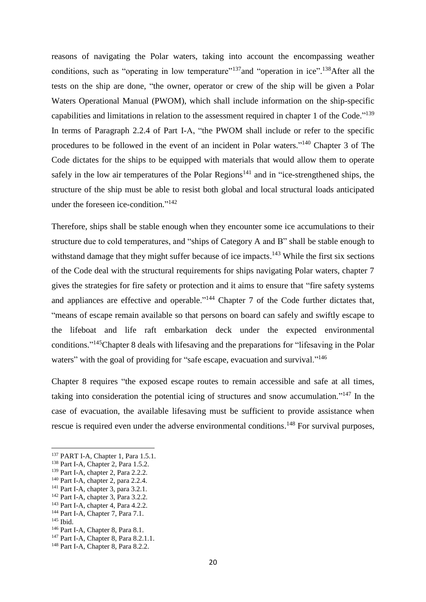reasons of navigating the Polar waters, taking into account the encompassing weather conditions, such as "operating in low temperature"<sup>137</sup>and "operation in ice".<sup>138</sup>After all the tests on the ship are done, "the owner, operator or crew of the ship will be given a Polar Waters Operational Manual (PWOM), which shall include information on the ship-specific capabilities and limitations in relation to the assessment required in chapter 1 of the Code."<sup>139</sup> In terms of Paragraph 2.2.4 of Part I-A, "the PWOM shall include or refer to the specific procedures to be followed in the event of an incident in Polar waters."<sup>140</sup> Chapter 3 of The Code dictates for the ships to be equipped with materials that would allow them to operate safely in the low air temperatures of the Polar Regions<sup>141</sup> and in "ice-strengthened ships, the structure of the ship must be able to resist both global and local structural loads anticipated under the foreseen ice-condition."<sup>142</sup>

Therefore, ships shall be stable enough when they encounter some ice accumulations to their structure due to cold temperatures, and "ships of Category A and B" shall be stable enough to withstand damage that they might suffer because of ice impacts.<sup>143</sup> While the first six sections of the Code deal with the structural requirements for ships navigating Polar waters, chapter 7 gives the strategies for fire safety or protection and it aims to ensure that "fire safety systems and appliances are effective and operable."<sup>144</sup> Chapter 7 of the Code further dictates that, "means of escape remain available so that persons on board can safely and swiftly escape to the lifeboat and life raft embarkation deck under the expected environmental conditions."<sup>145</sup>Chapter 8 deals with lifesaving and the preparations for "lifesaving in the Polar waters" with the goal of providing for "safe escape, evacuation and survival."<sup>146</sup>

Chapter 8 requires "the exposed escape routes to remain accessible and safe at all times, taking into consideration the potential icing of structures and snow accumulation."<sup>147</sup> In the case of evacuation, the available lifesaving must be sufficient to provide assistance when rescue is required even under the adverse environmental conditions.<sup>148</sup> For survival purposes,

<sup>143</sup> Part I-A, chapter 4, Para 4.2.2.

 $\overline{\phantom{a}}$ 

<sup>146</sup> Part I-A, Chapter 8, Para 8.1.

<sup>137</sup> PART I-A, Chapter 1, Para 1.5.1.

<sup>&</sup>lt;sup>138</sup> Part I-A, Chapter 2, Para 1.5.2.

<sup>&</sup>lt;sup>139</sup> Part I-A, chapter 2, Para 2.2.2.

<sup>140</sup> Part I-A, chapter 2, para 2.2.4.

 $141$  Part I-A, chapter 3, para 3.2.1.

<sup>&</sup>lt;sup>142</sup> Part I-A, chapter 3, Para 3.2.2.

<sup>&</sup>lt;sup>144</sup> Part I-A, Chapter 7, Para 7.1.

<sup>145</sup> Ibid.

<sup>&</sup>lt;sup>147</sup> Part I-A, Chapter 8, Para 8.2.1.1.

<sup>&</sup>lt;sup>148</sup> Part I-A, Chapter 8, Para 8.2.2.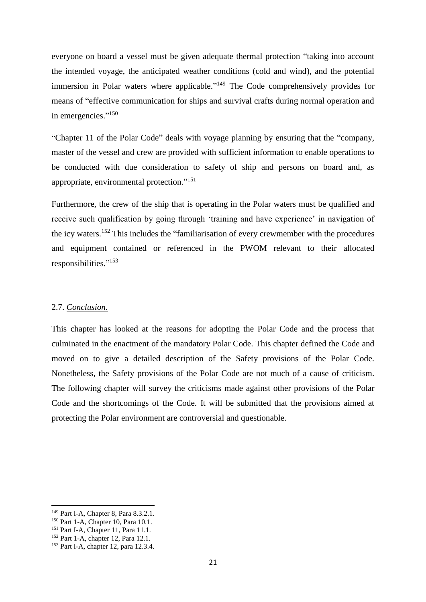everyone on board a vessel must be given adequate thermal protection "taking into account the intended voyage, the anticipated weather conditions (cold and wind), and the potential immersion in Polar waters where applicable."<sup>149</sup> The Code comprehensively provides for means of "effective communication for ships and survival crafts during normal operation and in emergencies."<sup>150</sup>

"Chapter 11 of the Polar Code" deals with voyage planning by ensuring that the "company, master of the vessel and crew are provided with sufficient information to enable operations to be conducted with due consideration to safety of ship and persons on board and, as appropriate, environmental protection."<sup>151</sup>

Furthermore, the crew of the ship that is operating in the Polar waters must be qualified and receive such qualification by going through 'training and have experience' in navigation of the icy waters. <sup>152</sup> This includes the "familiarisation of every crewmember with the procedures and equipment contained or referenced in the PWOM relevant to their allocated responsibilities." 153

### 2.7. *Conclusion.*

This chapter has looked at the reasons for adopting the Polar Code and the process that culminated in the enactment of the mandatory Polar Code. This chapter defined the Code and moved on to give a detailed description of the Safety provisions of the Polar Code. Nonetheless, the Safety provisions of the Polar Code are not much of a cause of criticism. The following chapter will survey the criticisms made against other provisions of the Polar Code and the shortcomings of the Code. It will be submitted that the provisions aimed at protecting the Polar environment are controversial and questionable.

<sup>149</sup> Part I-A, Chapter 8, Para 8.3.2.1.

<sup>&</sup>lt;sup>150</sup> Part 1-A, Chapter 10, Para 10.1.

<sup>151</sup> Part I-A, Chapter 11, Para 11.1.

<sup>152</sup> Part 1-A, chapter 12, Para 12.1.

<sup>&</sup>lt;sup>153</sup> Part I-A, chapter 12, para 12.3.4.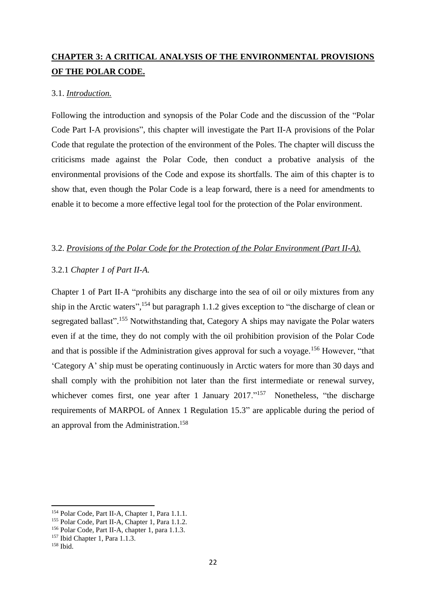# **CHAPTER 3: A CRITICAL ANALYSIS OF THE ENVIRONMENTAL PROVISIONS OF THE POLAR CODE.**

### 3.1. *Introduction.*

Following the introduction and synopsis of the Polar Code and the discussion of the "Polar Code Part I-A provisions", this chapter will investigate the Part II-A provisions of the Polar Code that regulate the protection of the environment of the Poles. The chapter will discuss the criticisms made against the Polar Code, then conduct a probative analysis of the environmental provisions of the Code and expose its shortfalls. The aim of this chapter is to show that, even though the Polar Code is a leap forward, there is a need for amendments to enable it to become a more effective legal tool for the protection of the Polar environment.

### 3.2. *Provisions of the Polar Code for the Protection of the Polar Environment (Part II-A).*

### 3.2.1 *Chapter 1 of Part II-A.*

Chapter 1 of Part II-A "prohibits any discharge into the sea of oil or oily mixtures from any ship in the Arctic waters",  $^{154}$  but paragraph 1.1.2 gives exception to "the discharge of clean or segregated ballast".<sup>155</sup> Notwithstanding that, Category A ships may navigate the Polar waters even if at the time, they do not comply with the oil prohibition provision of the Polar Code and that is possible if the Administration gives approval for such a voyage.<sup>156</sup> However, "that 'Category A' ship must be operating continuously in Arctic waters for more than 30 days and shall comply with the prohibition not later than the first intermediate or renewal survey, whichever comes first, one year after 1 January 2017."<sup>157</sup> Nonetheless, "the discharge requirements of MARPOL of Annex 1 Regulation 15.3" are applicable during the period of an approval from the Administration. 158

<sup>154</sup> Polar Code, Part II-A, Chapter 1, Para 1.1.1.

<sup>&</sup>lt;sup>155</sup> Polar Code, Part II-A, Chapter 1, Para 1.1.2.

<sup>156</sup> Polar Code, Part II-A, chapter 1, para 1.1.3.

<sup>157</sup> Ibid Chapter 1, Para 1.1.3.

 $158$  Ibid.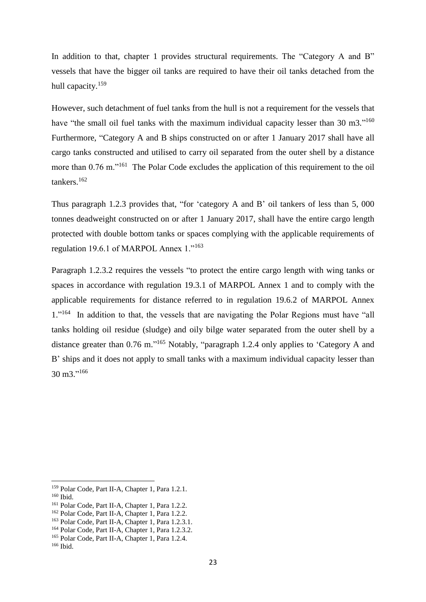In addition to that, chapter 1 provides structural requirements. The "Category A and B" vessels that have the bigger oil tanks are required to have their oil tanks detached from the hull capacity.<sup>159</sup>

However, such detachment of fuel tanks from the hull is not a requirement for the vessels that have "the small oil fuel tanks with the maximum individual capacity lesser than 30 m3."<sup>160</sup> Furthermore, "Category A and B ships constructed on or after 1 January 2017 shall have all cargo tanks constructed and utilised to carry oil separated from the outer shell by a distance more than 0.76 m."<sup>161</sup> The Polar Code excludes the application of this requirement to the oil tankers.<sup>162</sup>

Thus paragraph 1.2.3 provides that, "for 'category A and B' oil tankers of less than 5, 000 tonnes deadweight constructed on or after 1 January 2017, shall have the entire cargo length protected with double bottom tanks or spaces complying with the applicable requirements of regulation 19.6.1 of MARPOL Annex 1."<sup>163</sup>

Paragraph 1.2.3.2 requires the vessels "to protect the entire cargo length with wing tanks or spaces in accordance with regulation 19.3.1 of MARPOL Annex 1 and to comply with the applicable requirements for distance referred to in regulation 19.6.2 of MARPOL Annex 1."<sup>164</sup> In addition to that, the vessels that are navigating the Polar Regions must have "all tanks holding oil residue (sludge) and oily bilge water separated from the outer shell by a distance greater than 0.76 m."<sup>165</sup> Notably, "paragraph 1.2.4 only applies to 'Category A and B' ships and it does not apply to small tanks with a maximum individual capacity lesser than 30 m3." 166

<sup>159</sup> Polar Code, Part II-A, Chapter 1, Para 1.2.1.

<sup>&</sup>lt;sup>160</sup> Ibid.

<sup>161</sup> Polar Code, Part II-A, Chapter 1, Para 1.2.2.

<sup>162</sup> Polar Code, Part II-A, Chapter 1, Para 1.2.2.

<sup>&</sup>lt;sup>163</sup> Polar Code, Part II-A, Chapter 1, Para 1.2.3.1.

<sup>164</sup> Polar Code, Part II-A, Chapter 1, Para 1.2.3.2.

<sup>165</sup> Polar Code, Part II-A, Chapter 1, Para 1.2.4.

 $166$  Ibid.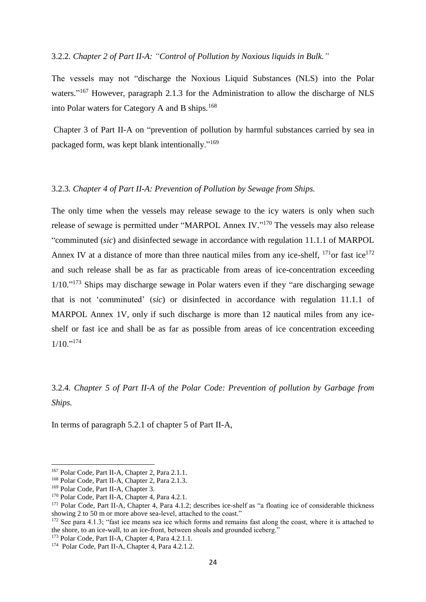#### 3.2.2*. Chapter 2 of Part II-A: "Control of Pollution by Noxious liquids in Bulk."*

The vessels may not "discharge the Noxious Liquid Substances (NLS) into the Polar waters."<sup>167</sup> However, paragraph 2.1.3 for the Administration to allow the discharge of NLS into Polar waters for Category A and B ships.<sup>168</sup>

Chapter 3 of Part II-A on "prevention of pollution by harmful substances carried by sea in packaged form, was kept blank intentionally."<sup>169</sup>

### 3.2.3*. Chapter 4 of Part II-A: Prevention of Pollution by Sewage from Ships.*

The only time when the vessels may release sewage to the icy waters is only when such release of sewage is permitted under "MARPOL Annex IV."<sup>170</sup> The vessels may also release "comminuted (*sic*) and disinfected sewage in accordance with regulation 11.1.1 of MARPOL Annex IV at a distance of more than three nautical miles from any ice-shelf,  $^{171}$ or fast ice<sup>172</sup> and such release shall be as far as practicable from areas of ice-concentration exceeding 1/10."<sup>173</sup> Ships may discharge sewage in Polar waters even if they "are discharging sewage that is not 'comminuted' (*sic*) or disinfected in accordance with regulation 11.1.1 of MARPOL Annex 1V, only if such discharge is more than 12 nautical miles from any iceshelf or fast ice and shall be as far as possible from areas of ice concentration exceeding 1/10." 174

# 3.2.4*. Chapter 5 of Part II-A of the Polar Code: Prevention of pollution by Garbage from Ships.*

In terms of paragraph 5.2.1 of chapter 5 of Part II-A,

<sup>167</sup> Polar Code, Part II-A, Chapter 2, Para 2.1.1.

<sup>168</sup> Polar Code, Part II-A, Chapter 2, Para 2.1.3.

<sup>&</sup>lt;sup>169</sup> Polar Code, Part II-A, Chapter 3.

<sup>&</sup>lt;sup>170</sup> Polar Code, Part II-A, Chapter 4, Para 4.2.1.

<sup>&</sup>lt;sup>171</sup> Polar Code, Part II-A, Chapter 4, Para 4.1.2; describes ice-shelf as "a floating ice of considerable thickness showing 2 to 50 m or more above sea-level, attached to the coast."

<sup>&</sup>lt;sup>172</sup> See para 4.1.3; "fast ice means sea ice which forms and remains fast along the coast, where it is attached to the shore, to an ice-wall, to an ice-front, between shoals and grounded iceberg."

<sup>173</sup> Polar Code, Part II-A, Chapter 4, Para 4.2.1.1.

<sup>&</sup>lt;sup>174</sup> Polar Code, Part II-A, Chapter 4, Para 4.2.1.2.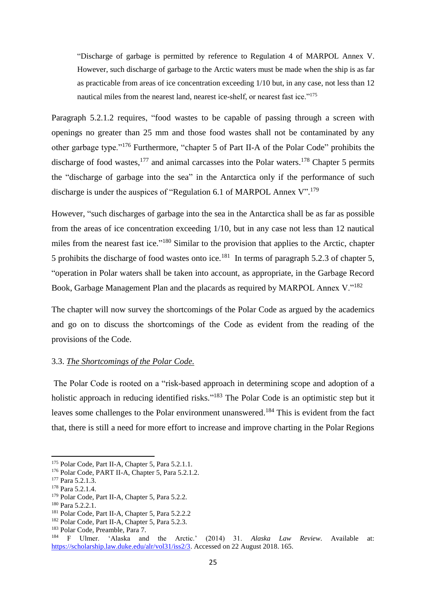"Discharge of garbage is permitted by reference to Regulation 4 of MARPOL Annex V. However, such discharge of garbage to the Arctic waters must be made when the ship is as far as practicable from areas of ice concentration exceeding 1/10 but, in any case, not less than 12 nautical miles from the nearest land, nearest ice-shelf, or nearest fast ice."<sup>175</sup>

Paragraph 5.2.1.2 requires, "food wastes to be capable of passing through a screen with openings no greater than 25 mm and those food wastes shall not be contaminated by any other garbage type."<sup>176</sup> Furthermore, "chapter 5 of Part II-A of the Polar Code" prohibits the discharge of food wastes,  $177$  and animal carcasses into the Polar waters.  $178$  Chapter 5 permits the "discharge of garbage into the sea" in the Antarctica only if the performance of such discharge is under the auspices of "Regulation 6.1 of MARPOL Annex V".<sup>179</sup>

However, "such discharges of garbage into the sea in the Antarctica shall be as far as possible from the areas of ice concentration exceeding 1/10, but in any case not less than 12 nautical miles from the nearest fast ice."<sup>180</sup> Similar to the provision that applies to the Arctic, chapter 5 prohibits the discharge of food wastes onto ice.<sup>181</sup> In terms of paragraph 5.2.3 of chapter 5, "operation in Polar waters shall be taken into account, as appropriate, in the Garbage Record Book, Garbage Management Plan and the placards as required by MARPOL Annex V."<sup>182</sup>

The chapter will now survey the shortcomings of the Polar Code as argued by the academics and go on to discuss the shortcomings of the Code as evident from the reading of the provisions of the Code.

### 3.3. *The Shortcomings of the Polar Code.*

The Polar Code is rooted on a "risk-based approach in determining scope and adoption of a holistic approach in reducing identified risks."<sup>183</sup> The Polar Code is an optimistic step but it leaves some challenges to the Polar environment unanswered.<sup>184</sup> This is evident from the fact that, there is still a need for more effort to increase and improve charting in the Polar Regions

<sup>175</sup> Polar Code, Part II-A, Chapter 5, Para 5.2.1.1.

<sup>176</sup> Polar Code, PART II-A, Chapter 5, Para 5.2.1.2.

<sup>&</sup>lt;sup>177</sup> Para 5.2.1.3.

<sup>178</sup> Para 5.2.1.4.

<sup>179</sup> Polar Code, Part II-A, Chapter 5, Para 5.2.2.

<sup>180</sup> Para 5.2.2.1.

<sup>181</sup> Polar Code, Part II-A, Chapter 5, Para 5.2.2.2

<sup>&</sup>lt;sup>182</sup> Polar Code, Part II-A, Chapter 5, Para 5.2.3.

<sup>183</sup> Polar Code, Preamble, Para 7.

<sup>184</sup> F Ulmer. 'Alaska and the Arctic.' (2014) 31. *Alaska Law Review*. Available at: [https://scholarship.law.duke.edu/alr/vol31/iss2/3.](https://scholarship.law.duke.edu/alr/vol31/iss2/3) Accessed on 22 August 2018. 165.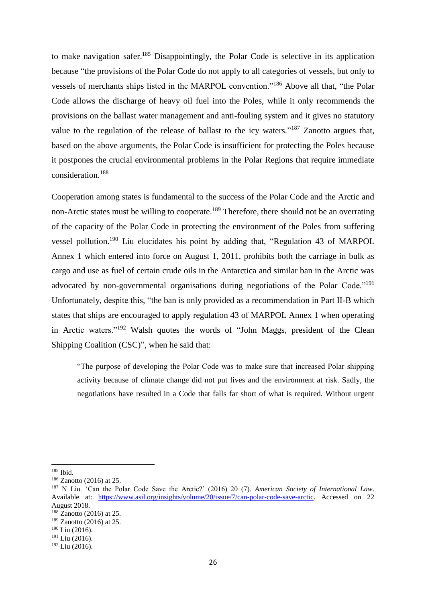to make navigation safer.<sup>185</sup> Disappointingly, the Polar Code is selective in its application because "the provisions of the Polar Code do not apply to all categories of vessels, but only to vessels of merchants ships listed in the MARPOL convention."<sup>186</sup> Above all that, "the Polar Code allows the discharge of heavy oil fuel into the Poles, while it only recommends the provisions on the ballast water management and anti-fouling system and it gives no statutory value to the regulation of the release of ballast to the icy waters."<sup>187</sup> Zanotto argues that, based on the above arguments, the Polar Code is insufficient for protecting the Poles because it postpones the crucial environmental problems in the Polar Regions that require immediate consideration.<sup>188</sup>

Cooperation among states is fundamental to the success of the Polar Code and the Arctic and non-Arctic states must be willing to cooperate.<sup>189</sup> Therefore, there should not be an overrating of the capacity of the Polar Code in protecting the environment of the Poles from suffering vessel pollution.<sup>190</sup> Liu elucidates his point by adding that, "Regulation 43 of MARPOL Annex 1 which entered into force on August 1, 2011, prohibits both the carriage in bulk as cargo and use as fuel of certain crude oils in the Antarctica and similar ban in the Arctic was advocated by non-governmental organisations during negotiations of the Polar Code."<sup>191</sup> Unfortunately, despite this, "the ban is only provided as a recommendation in Part II-B which states that ships are encouraged to apply regulation 43 of MARPOL Annex 1 when operating in Arctic waters."<sup>192</sup> Walsh quotes the words of "John Maggs, president of the Clean Shipping Coalition (CSC)", when he said that:

"The purpose of developing the Polar Code was to make sure that increased Polar shipping activity because of climate change did not put lives and the environment at risk. Sadly, the negotiations have resulted in a Code that falls far short of what is required. Without urgent

<sup>185</sup> Ibid.

<sup>&</sup>lt;sup>186</sup> Zanotto (2016) at 25.

<sup>187</sup> N Liu. 'Can the Polar Code Save the Arctic?' (2016) 20 (7). *American Society of International Law*. Available at: [https://www.asil.org/insights/volume/20/issue/7/can-polar-code-save-arctic.](https://www.asil.org/insights/volume/20/issue/7/can-polar-code-save-arctic) Accessed on 22 August 2018.

<sup>&</sup>lt;sup>188</sup> Zanotto (2016) at 25.

<sup>&</sup>lt;sup>189</sup> Zanotto (2016) at 25.

 $190$  Liu (2016).

<sup>191</sup> Liu (2016).

 $192$  Liu (2016).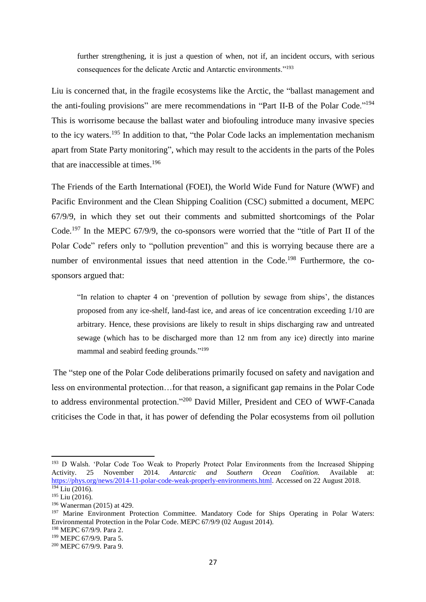further strengthening, it is just a question of when, not if, an incident occurs, with serious consequences for the delicate Arctic and Antarctic environments."<sup>193</sup>

Liu is concerned that, in the fragile ecosystems like the Arctic, the "ballast management and the anti-fouling provisions" are mere recommendations in "Part II-B of the Polar Code."<sup>194</sup> This is worrisome because the ballast water and biofouling introduce many invasive species to the icy waters.<sup>195</sup> In addition to that, "the Polar Code lacks an implementation mechanism apart from State Party monitoring", which may result to the accidents in the parts of the Poles that are inaccessible at times.<sup>196</sup>

The Friends of the Earth International (FOEI), the World Wide Fund for Nature (WWF) and Pacific Environment and the Clean Shipping Coalition (CSC) submitted a document, MEPC 67/9/9, in which they set out their comments and submitted shortcomings of the Polar Code.<sup>197</sup> In the MEPC 67/9/9, the co-sponsors were worried that the "title of Part II of the Polar Code" refers only to "pollution prevention" and this is worrying because there are a number of environmental issues that need attention in the Code.<sup>198</sup> Furthermore, the cosponsors argued that:

"In relation to chapter 4 on 'prevention of pollution by sewage from ships', the distances proposed from any ice-shelf, land-fast ice, and areas of ice concentration exceeding 1/10 are arbitrary. Hence, these provisions are likely to result in ships discharging raw and untreated sewage (which has to be discharged more than 12 nm from any ice) directly into marine mammal and seabird feeding grounds."<sup>199</sup>

The "step one of the Polar Code deliberations primarily focused on safety and navigation and less on environmental protection…for that reason, a significant gap remains in the Polar Code to address environmental protection."<sup>200</sup> David Miller, President and CEO of WWF-Canada criticises the Code in that, it has power of defending the Polar ecosystems from oil pollution

<sup>193</sup> D Walsh. 'Polar Code Too Weak to Properly Protect Polar Environments from the Increased Shipping Activity. 25 November 2014. *Antarctic and Southern Ocean Coalition.* Available at: [https://phys.org/news/2014-11-polar-code-weak-properly-environments.html.](https://phys.org/news/2014-11-polar-code-weak-properly-environments.html) Accessed on 22 August 2018.  $194$  Liu (2016).

<sup>195</sup> Liu (2016).

<sup>196</sup> Wanerman (2015) at 429.

<sup>197</sup> Marine Environment Protection Committee. Mandatory Code for Ships Operating in Polar Waters: Environmental Protection in the Polar Code. MEPC 67/9/9 (02 August 2014).

<sup>198</sup> MEPC 67/9/9. Para 2.

<sup>199</sup> MEPC 67/9/9. Para 5.

<sup>200</sup> MEPC 67/9/9. Para 9.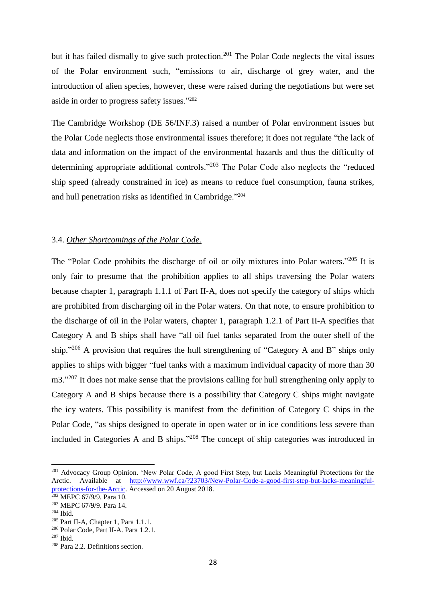but it has failed dismally to give such protection.<sup>201</sup> The Polar Code neglects the vital issues of the Polar environment such, "emissions to air, discharge of grey water, and the introduction of alien species, however, these were raised during the negotiations but were set aside in order to progress safety issues." 202

The Cambridge Workshop (DE 56/INF.3) raised a number of Polar environment issues but the Polar Code neglects those environmental issues therefore; it does not regulate "the lack of data and information on the impact of the environmental hazards and thus the difficulty of determining appropriate additional controls."<sup>203</sup> The Polar Code also neglects the "reduced ship speed (already constrained in ice) as means to reduce fuel consumption, fauna strikes, and hull penetration risks as identified in Cambridge."<sup>204</sup>

### 3.4. *Other Shortcomings of the Polar Code.*

The "Polar Code prohibits the discharge of oil or oily mixtures into Polar waters."<sup>205</sup> It is only fair to presume that the prohibition applies to all ships traversing the Polar waters because chapter 1, paragraph 1.1.1 of Part II-A, does not specify the category of ships which are prohibited from discharging oil in the Polar waters. On that note, to ensure prohibition to the discharge of oil in the Polar waters, chapter 1, paragraph 1.2.1 of Part II-A specifies that Category A and B ships shall have "all oil fuel tanks separated from the outer shell of the ship."<sup>206</sup> A provision that requires the hull strengthening of "Category A and B" ships only applies to ships with bigger "fuel tanks with a maximum individual capacity of more than 30 m3."<sup>207</sup> It does not make sense that the provisions calling for hull strengthening only apply to Category A and B ships because there is a possibility that Category C ships might navigate the icy waters. This possibility is manifest from the definition of Category C ships in the Polar Code, "as ships designed to operate in open water or in ice conditions less severe than included in Categories A and B ships." <sup>208</sup> The concept of ship categories was introduced in

<sup>&</sup>lt;sup>201</sup> Advocacy Group Opinion. 'New Polar Code, A good First Step, but Lacks Meaningful Protections for the Arctic. Available at [http://www.wwf.ca/?23703/New-Polar-Code-a-good-first-step-but-lacks-meaningful](http://www.wwf.ca/?23703/New-Polar-Code-a-good-first-step-but-lacks-meaningful-protections-for-the-Arctic)[protections-for-the-Arctic.](http://www.wwf.ca/?23703/New-Polar-Code-a-good-first-step-but-lacks-meaningful-protections-for-the-Arctic) Accessed on 20 August 2018.

 $202$  MEPC 67/9/9. Para 10.

<sup>203</sup> MEPC 67/9/9. Para 14.

<sup>204</sup> Ibid.

 $205$  Part II-A, Chapter 1, Para 1.1.1.

<sup>206</sup> Polar Code, Part II-A. Para 1.2.1.

<sup>207</sup> Ibid.

<sup>208</sup> Para 2.2. Definitions section.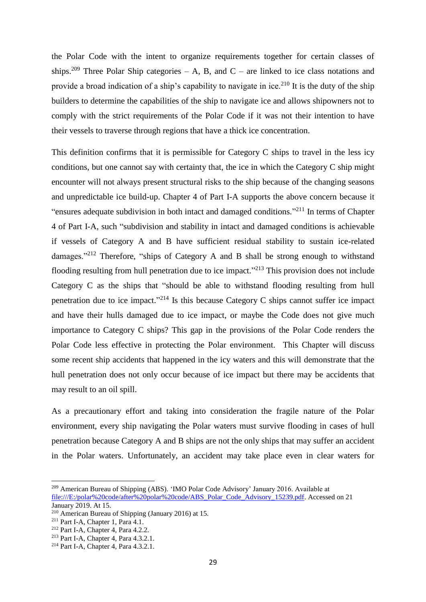the Polar Code with the intent to organize requirements together for certain classes of ships.<sup>209</sup> Three Polar Ship categories – A, B, and C – are linked to ice class notations and provide a broad indication of a ship's capability to navigate in ice.<sup>210</sup> It is the duty of the ship builders to determine the capabilities of the ship to navigate ice and allows shipowners not to comply with the strict requirements of the Polar Code if it was not their intention to have their vessels to traverse through regions that have a thick ice concentration.

This definition confirms that it is permissible for Category C ships to travel in the less icy conditions, but one cannot say with certainty that, the ice in which the Category C ship might encounter will not always present structural risks to the ship because of the changing seasons and unpredictable ice build-up. Chapter 4 of Part I-A supports the above concern because it "ensures adequate subdivision in both intact and damaged conditions."<sup>211</sup> In terms of Chapter 4 of Part I-A, such "subdivision and stability in intact and damaged conditions is achievable if vessels of Category A and B have sufficient residual stability to sustain ice-related damages."<sup>212</sup> Therefore, "ships of Category A and B shall be strong enough to withstand flooding resulting from hull penetration due to ice impact."<sup>213</sup> This provision does not include Category C as the ships that "should be able to withstand flooding resulting from hull penetration due to ice impact."<sup>214</sup> Is this because Category C ships cannot suffer ice impact and have their hulls damaged due to ice impact, or maybe the Code does not give much importance to Category C ships? This gap in the provisions of the Polar Code renders the Polar Code less effective in protecting the Polar environment. This Chapter will discuss some recent ship accidents that happened in the icy waters and this will demonstrate that the hull penetration does not only occur because of ice impact but there may be accidents that may result to an oil spill.

As a precautionary effort and taking into consideration the fragile nature of the Polar environment, every ship navigating the Polar waters must survive flooding in cases of hull penetration because Category A and B ships are not the only ships that may suffer an accident in the Polar waters. Unfortunately, an accident may take place even in clear waters for

<sup>209</sup> American Bureau of Shipping (ABS). 'IMO Polar Code Advisory' January 2016. Available at [file:///E:/polar%20code/after%20polar%20code/ABS\\_Polar\\_Code\\_Advisory\\_15239.pdf.](file:///E:/polar%20code/after%20polar%20code/ABS_Polar_Code_Advisory_15239.pdf) Accessed on 21 January 2019. At 15.

<sup>210</sup> American Bureau of Shipping (January 2016) at 15.

<sup>211</sup> Part I-A, Chapter 1, Para 4.1.

<sup>212</sup> Part I-A, Chapter 4, Para 4.2.2.

<sup>213</sup> Part I-A, Chapter 4, Para 4.3.2.1.

<sup>214</sup> Part I-A, Chapter 4, Para 4.3.2.1.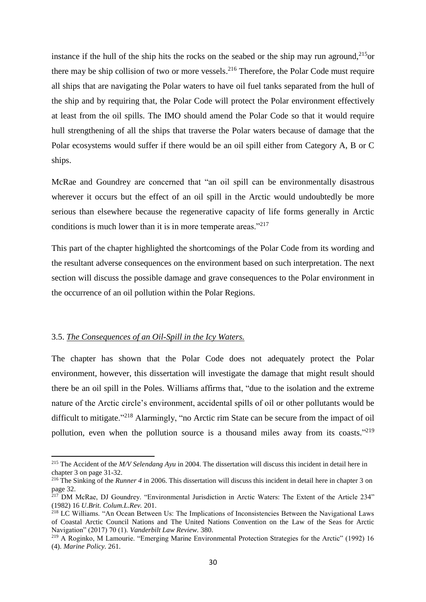instance if the hull of the ship hits the rocks on the seabed or the ship may run aground, $^{215}$ or there may be ship collision of two or more vessels.<sup>216</sup> Therefore, the Polar Code must require all ships that are navigating the Polar waters to have oil fuel tanks separated from the hull of the ship and by requiring that, the Polar Code will protect the Polar environment effectively at least from the oil spills. The IMO should amend the Polar Code so that it would require hull strengthening of all the ships that traverse the Polar waters because of damage that the Polar ecosystems would suffer if there would be an oil spill either from Category A, B or C ships.

McRae and Goundrey are concerned that "an oil spill can be environmentally disastrous wherever it occurs but the effect of an oil spill in the Arctic would undoubtedly be more serious than elsewhere because the regenerative capacity of life forms generally in Arctic conditions is much lower than it is in more temperate areas."<sup>217</sup>

This part of the chapter highlighted the shortcomings of the Polar Code from its wording and the resultant adverse consequences on the environment based on such interpretation. The next section will discuss the possible damage and grave consequences to the Polar environment in the occurrence of an oil pollution within the Polar Regions.

### 3.5. *The Consequences of an Oil-Spill in the Icy Waters.*

1

The chapter has shown that the Polar Code does not adequately protect the Polar environment, however, this dissertation will investigate the damage that might result should there be an oil spill in the Poles. Williams affirms that, "due to the isolation and the extreme nature of the Arctic circle's environment, accidental spills of oil or other pollutants would be difficult to mitigate."<sup>218</sup> Alarmingly, "no Arctic rim State can be secure from the impact of oil pollution, even when the pollution source is a thousand miles away from its coasts."<sup>219</sup>

<sup>215</sup> The Accident of the *M/V Selendang Ayu* in 2004. The dissertation will discuss this incident in detail here in chapter 3 on page 31-32.

<sup>&</sup>lt;sup>216</sup> The Sinking of the *Runner* 4 in 2006. This dissertation will discuss this incident in detail here in chapter 3 on page 32.

<sup>&</sup>lt;sup>217</sup> DM McRae, DJ Goundrey. "Environmental Jurisdiction in Arctic Waters: The Extent of the Article 234" (1982) 16 *U.Brit. Colum.L.Rev.* 201.

<sup>218</sup> LC Williams. "An Ocean Between Us: The Implications of Inconsistencies Between the Navigational Laws of Coastal Arctic Council Nations and The United Nations Convention on the Law of the Seas for Arctic Navigation" (2017) 70 (1). *Vanderbilt Law Review.* 380.

<sup>&</sup>lt;sup>219</sup> A Roginko, M Lamourie. "Emerging Marine Environmental Protection Strategies for the Arctic" (1992) 16 (4). *Marine Policy.* 261.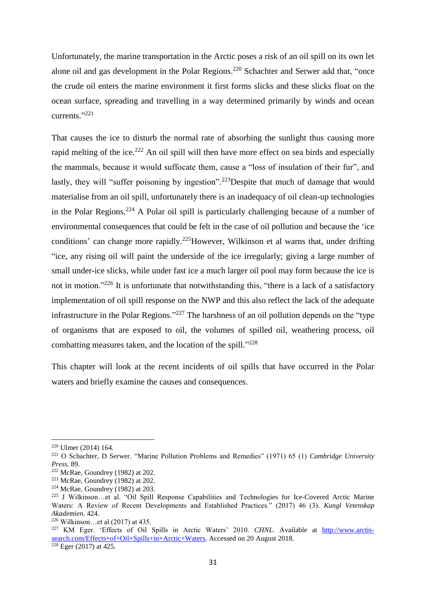Unfortunately, the marine transportation in the Arctic poses a risk of an oil spill on its own let alone oil and gas development in the Polar Regions.<sup>220</sup> Schachter and Serwer add that, "once the crude oil enters the marine environment it first forms slicks and these slicks float on the ocean surface, spreading and travelling in a way determined primarily by winds and ocean currents." 221

That causes the ice to disturb the normal rate of absorbing the sunlight thus causing more rapid melting of the ice.<sup>222</sup> An oil spill will then have more effect on sea birds and especially the mammals, because it would suffocate them, cause a "loss of insulation of their fur", and lastly, they will "suffer poisoning by ingestion".<sup>223</sup>Despite that much of damage that would materialise from an oil spill, unfortunately there is an inadequacy of oil clean-up technologies in the Polar Regions.<sup>224</sup> A Polar oil spill is particularly challenging because of a number of environmental consequences that could be felt in the case of oil pollution and because the 'ice conditions' can change more rapidly.<sup>225</sup>However, Wilkinson et al warns that, under drifting "ice, any rising oil will paint the underside of the ice irregularly; giving a large number of small under-ice slicks, while under fast ice a much larger oil pool may form because the ice is not in motion."<sup>226</sup> It is unfortunate that notwithstanding this, "there is a lack of a satisfactory implementation of oil spill response on the NWP and this also reflect the lack of the adequate infrastructure in the Polar Regions."<sup>227</sup> The harshness of an oil pollution depends on the "type of organisms that are exposed to oil, the volumes of spilled oil, weathering process, oil combatting measures taken, and the location of the spill."<sup>228</sup>

This chapter will look at the recent incidents of oil spills that have occurred in the Polar waters and briefly examine the causes and consequences.

<sup>220</sup> Ulmer (2014) 164.

<sup>221</sup> O Schachter, D Serwer. "Marine Pollution Problems and Remedies" (1971) 65 (1) *Cambridge University Press.* 89.

 $222$  McRae, Goundrey (1982) at 202.

<sup>223</sup> McRae, Goundrey (1982) at 202.

 $224$  McRae, Goundrey (1982) at 203.

<sup>225</sup> J Wilkinson…et al. "Oil Spill Response Capabilities and Technologies for Ice-Covered Arctic Marine Waters: A Review of Recent Developments and Established Practices." (2017) 46 (3). *Kungl Vetenskap Akademien*. 424.

<sup>226</sup> Wilkinson…et al (2017) at 435.

<sup>&</sup>lt;sup>227</sup> KM Eger. 'Effects of Oil Spills in Arctic Waters' 2010. *CHNL*. Available at [http://www.arctis](http://www.arctis-search.com/Effects+of+Oil+Spills+in+Arctic+Waters)[search.com/Effects+of+Oil+Spills+in+Arctic+Waters.](http://www.arctis-search.com/Effects+of+Oil+Spills+in+Arctic+Waters) Accessed on 20 August 2018.  $\frac{\text{search.com}}{228} \text{Eger} (2017) \text{ at } 425.$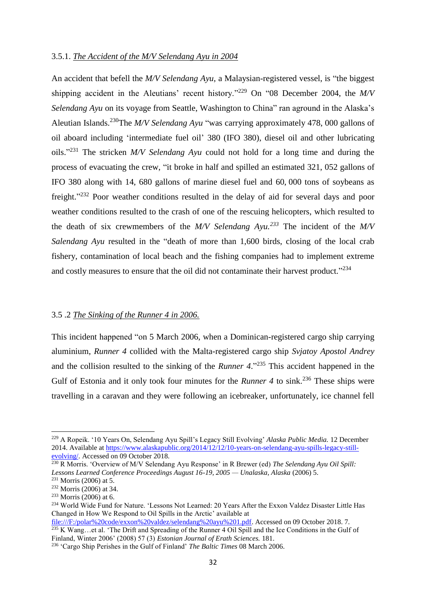#### 3.5.1. *The Accident of the M/V Selendang Ayu in 2004*

An accident that befell the *M/V Selendang Ayu*, a Malaysian-registered vessel, is "the biggest shipping accident in the Aleutians' recent history."<sup>229</sup> On "08 December 2004, the *M/V Selendang Ayu* on its voyage from Seattle, Washington to China" ran aground in the Alaska's Aleutian Islands.<sup>230</sup>The *M/V Selendang Ayu* "was carrying approximately 478, 000 gallons of oil aboard including 'intermediate fuel oil' 380 (IFO 380), diesel oil and other lubricating oils." <sup>231</sup> The stricken *M/V Selendang Ayu* could not hold for a long time and during the process of evacuating the crew, "it broke in half and spilled an estimated 321, 052 gallons of IFO 380 along with 14, 680 gallons of marine diesel fuel and 60, 000 tons of soybeans as freight."<sup>232</sup> Poor weather conditions resulted in the delay of aid for several days and poor weather conditions resulted to the crash of one of the rescuing helicopters, which resulted to the death of six crewmembers of the *M/V Selendang Ayu.<sup>233</sup>* The incident of the *M/V Salendang Ayu* resulted in the "death of more than 1,600 birds, closing of the local crab fishery, contamination of local beach and the fishing companies had to implement extreme and costly measures to ensure that the oil did not contaminate their harvest product."<sup>234</sup>

#### 3.5 .2 *The Sinking of the Runner 4 in 2006.*

This incident happened "on 5 March 2006, when a Dominican-registered cargo ship carrying aluminium, *Runner 4* collided with the Malta-registered cargo ship *Svjatoy Apostol Andrey*  and the collision resulted to the sinking of the *Runner 4*." <sup>235</sup> This accident happened in the Gulf of Estonia and it only took four minutes for the *Runner 4* to sink.<sup>236</sup> These ships were travelling in a caravan and they were following an icebreaker, unfortunately, ice channel fell

<sup>229</sup> A Ropeik. '10 Years On, Selendang Ayu Spill's Legacy Still Evolving' *Alaska Public Media.* 12 December 2014. Available at [https://www.alaskapublic.org/2014/12/12/10-years-on-selendang-ayu-spills-legacy-still](https://www.alaskapublic.org/2014/12/12/10-years-on-selendang-ayu-spills-legacy-still-evolving/)[evolving/.](https://www.alaskapublic.org/2014/12/12/10-years-on-selendang-ayu-spills-legacy-still-evolving/) Accessed on 09 October 2018.

<sup>230</sup> R Morris. 'Overview of M/V Selendang Ayu Response' in R Brewer (ed) *The Selendang Ayu Oil Spill: Lessons Learned Conference Proceedings August 16-19, 2005 — Unalaska, Alaska* (2006) 5.

 $231$  Morris (2006) at 5.

<sup>232</sup> Morris (2006) at 34.

<sup>233</sup> Morris (2006) at 6.

<sup>234</sup> World Wide Fund for Nature. 'Lessons Not Learned: 20 Years After the Exxon Valdez Disaster Little Has Changed in How We Respond to Oil Spills in the Arctic' available at

[file:///F:/polar%20code/exxon%20valdez/selendang%20ayu%201.pdf.](file:///F:/polar%20code/exxon%20valdez/selendang%20ayu%201.pdf) Accessed on 09 October 2018. 7. <sup>235</sup> K Wang…et al. 'The Drift and Spreading of the Runner 4 Oil Spill and the Ice Conditions in the Gulf of Finland, Winter 2006' (2008) 57 (3) *Estonian Journal of Erath Sciences.* 181. <sup>236</sup> 'Cargo Ship Perishes in the Gulf of Finland' *The Baltic Times* 08 March 2006.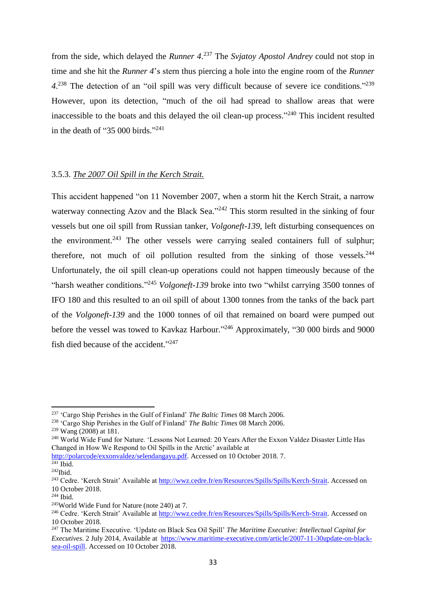from the side, which delayed the *Runner 4*. <sup>237</sup> The *Svjatoy Apostol Andrey* could not stop in time and she hit the *Runner 4*'s stern thus piercing a hole into the engine room of the *Runner 4*. <sup>238</sup> The detection of an "oil spill was very difficult because of severe ice conditions."<sup>239</sup> However, upon its detection, "much of the oil had spread to shallow areas that were inaccessible to the boats and this delayed the oil clean-up process."<sup>240</sup> This incident resulted in the death of "35 000 birds."<sup>241</sup>

### 3.5.3. *The 2007 Oil Spill in the Kerch Strait.*

This accident happened "on 11 November 2007, when a storm hit the Kerch Strait, a narrow waterway connecting Azov and the Black Sea."<sup>242</sup> This storm resulted in the sinking of four vessels but one oil spill from Russian tanker, *Volgoneft-139*, left disturbing consequences on the environment.<sup>243</sup> The other vessels were carrying sealed containers full of sulphur; therefore, not much of oil pollution resulted from the sinking of those vessels.<sup>244</sup> Unfortunately, the oil spill clean-up operations could not happen timeously because of the "harsh weather conditions."<sup>245</sup> *Volgoneft-139* broke into two "whilst carrying 3500 tonnes of IFO 180 and this resulted to an oil spill of about 1300 tonnes from the tanks of the back part of the *Volgoneft-139* and the 1000 tonnes of oil that remained on board were pumped out before the vessel was towed to Kavkaz Harbour."<sup>246</sup> Approximately, "30 000 birds and 9000 fish died because of the accident."<sup>247</sup>

<sup>237</sup> 'Cargo Ship Perishes in the Gulf of Finland' *The Baltic Times* 08 March 2006.

<sup>238</sup> 'Cargo Ship Perishes in the Gulf of Finland' *The Baltic Times* 08 March 2006.

<sup>239</sup> Wang (2008) at 181.

<sup>240</sup> World Wide Fund for Nature. 'Lessons Not Learned: 20 Years After the Exxon Valdez Disaster Little Has Changed in How We Respond to Oil Spills in the Arctic' available at

[http://polarcode/exxonvaldez/selendangayu.pdf.](http://polarcode/exxonvaldez/selendangayu.pdf) Accessed on 10 October 2018. 7.

 $241$  Ibid.

 $^{242}$ Ibid.

<sup>&</sup>lt;sup>243</sup> Cedre. 'Kerch Strait' Available at [http://wwz.cedre.fr/en/Resources/Spills/Spills/Kerch-Strait.](http://wwz.cedre.fr/en/Resources/Spills/Spills/Kerch-Strait) Accessed on 10 October 2018.

<sup>244</sup> Ibid.

<sup>245</sup>World Wide Fund for Nature (note 240) at 7.

<sup>&</sup>lt;sup>246</sup> Cedre. 'Kerch Strait' Available at [http://wwz.cedre.fr/en/Resources/Spills/Spills/Kerch-Strait.](http://wwz.cedre.fr/en/Resources/Spills/Spills/Kerch-Strait) Accessed on 10 October 2018.

<sup>247</sup> The Maritime Executive. 'Update on Black Sea Oil Spill' *The Maritime Executive: Intellectual Capital for Executives*. 2 July 2014, Available at [https://www.maritime-executive.com/article/2007-11-30update-on-black](https://www.maritime-executive.com/article/2007-11-30update-on-black-sea-oil-spill)[sea-oil-spill.](https://www.maritime-executive.com/article/2007-11-30update-on-black-sea-oil-spill) Accessed on 10 October 2018.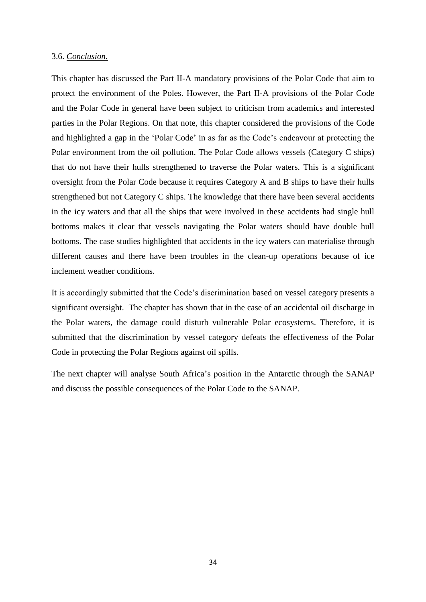### 3.6. *Conclusion.*

This chapter has discussed the Part II-A mandatory provisions of the Polar Code that aim to protect the environment of the Poles. However, the Part II-A provisions of the Polar Code and the Polar Code in general have been subject to criticism from academics and interested parties in the Polar Regions. On that note, this chapter considered the provisions of the Code and highlighted a gap in the 'Polar Code' in as far as the Code's endeavour at protecting the Polar environment from the oil pollution. The Polar Code allows vessels (Category C ships) that do not have their hulls strengthened to traverse the Polar waters. This is a significant oversight from the Polar Code because it requires Category A and B ships to have their hulls strengthened but not Category C ships. The knowledge that there have been several accidents in the icy waters and that all the ships that were involved in these accidents had single hull bottoms makes it clear that vessels navigating the Polar waters should have double hull bottoms. The case studies highlighted that accidents in the icy waters can materialise through different causes and there have been troubles in the clean-up operations because of ice inclement weather conditions.

It is accordingly submitted that the Code's discrimination based on vessel category presents a significant oversight. The chapter has shown that in the case of an accidental oil discharge in the Polar waters, the damage could disturb vulnerable Polar ecosystems. Therefore, it is submitted that the discrimination by vessel category defeats the effectiveness of the Polar Code in protecting the Polar Regions against oil spills.

The next chapter will analyse South Africa's position in the Antarctic through the SANAP and discuss the possible consequences of the Polar Code to the SANAP.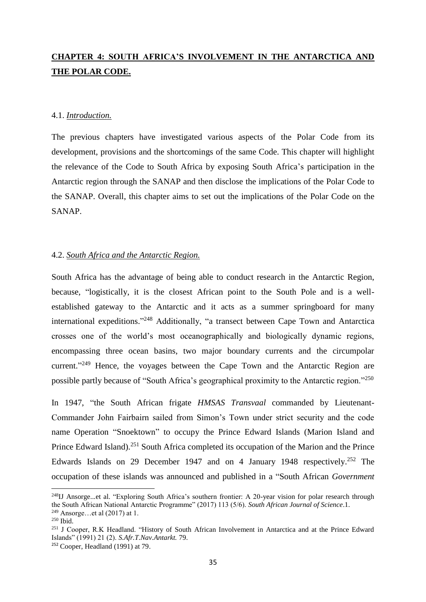# **CHAPTER 4: SOUTH AFRICA'S INVOLVEMENT IN THE ANTARCTICA AND THE POLAR CODE.**

### 4.1. *Introduction.*

The previous chapters have investigated various aspects of the Polar Code from its development, provisions and the shortcomings of the same Code. This chapter will highlight the relevance of the Code to South Africa by exposing South Africa's participation in the Antarctic region through the SANAP and then disclose the implications of the Polar Code to the SANAP. Overall, this chapter aims to set out the implications of the Polar Code on the SANAP.

### 4.2. *South Africa and the Antarctic Region.*

South Africa has the advantage of being able to conduct research in the Antarctic Region, because, "logistically, it is the closest African point to the South Pole and is a wellestablished gateway to the Antarctic and it acts as a summer springboard for many international expeditions."<sup>248</sup> Additionally, "a transect between Cape Town and Antarctica crosses one of the world's most oceanographically and biologically dynamic regions, encompassing three ocean basins, two major boundary currents and the circumpolar current."<sup>249</sup> Hence, the voyages between the Cape Town and the Antarctic Region are possible partly because of "South Africa's geographical proximity to the Antarctic region."<sup>250</sup>

In 1947, "the South African frigate *HMSAS Transvaal* commanded by Lieutenant-Commander John Fairbairn sailed from Simon's Town under strict security and the code name Operation "Snoektown" to occupy the Prince Edward Islands (Marion Island and Prince Edward Island).<sup>251</sup> South Africa completed its occupation of the Marion and the Prince Edwards Islands on 29 December 1947 and on 4 January 1948 respectively.<sup>252</sup> The occupation of these islands was announced and published in a "South African *Government* 

<sup>&</sup>lt;sup>248</sup>IJ Ansorge...et al. "Exploring South Africa's southern frontier: A 20-year vision for polar research through the South African National Antarctic Programme" (2017) 113 (5/6). *South African Journal of Science*.1. <sup>249</sup> Ansorge…et al (2017) at 1.

<sup>250</sup> Ibid.

<sup>251</sup> J Cooper, R.K Headland. "History of South African Involvement in Antarctica and at the Prince Edward Islands" (1991) 21 (2). *S.Afr.T.Nav.Antarkt.* 79.

<sup>252</sup> Cooper, Headland (1991) at 79.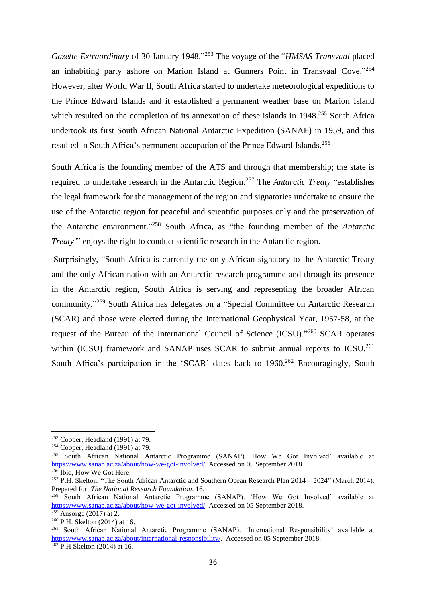*Gazette Extraordinary* of 30 January 1948." <sup>253</sup> The voyage of the "*HMSAS Transvaal* placed an inhabiting party ashore on Marion Island at Gunners Point in Transvaal Cove."<sup>254</sup> However, after World War II, South Africa started to undertake meteorological expeditions to the Prince Edward Islands and it established a permanent weather base on Marion Island which resulted on the completion of its annexation of these islands in 1948.<sup>255</sup> South Africa undertook its first South African National Antarctic Expedition (SANAE) in 1959, and this resulted in South Africa's permanent occupation of the Prince Edward Islands.<sup>256</sup>

South Africa is the founding member of the ATS and through that membership; the state is required to undertake research in the Antarctic Region.<sup>257</sup> The *Antarctic Treaty* "establishes the legal framework for the management of the region and signatories undertake to ensure the use of the Antarctic region for peaceful and scientific purposes only and the preservation of the Antarctic environment." <sup>258</sup> South Africa, as "the founding member of the *Antarctic Treaty*" enjoys the right to conduct scientific research in the Antarctic region.

Surprisingly, "South Africa is currently the only African signatory to the Antarctic Treaty and the only African nation with an Antarctic research programme and through its presence in the Antarctic region, South Africa is serving and representing the broader African community." <sup>259</sup> South Africa has delegates on a "Special Committee on Antarctic Research (SCAR) and those were elected during the International Geophysical Year, 1957-58, at the request of the Bureau of the International Council of Science (ICSU)."<sup>260</sup> SCAR operates within (ICSU) framework and SANAP uses SCAR to submit annual reports to ICSU.<sup>261</sup> South Africa's participation in the 'SCAR' dates back to 1960.<sup>262</sup> Encouragingly, South

<sup>253</sup> Cooper, Headland (1991) at 79.

 $254$  Cooper, Headland (1991) at 79.

<sup>255</sup> South African National Antarctic Programme (SANAP). How We Got Involved' available at [https://www.sanap.ac.za/about/how-we-got-involved/.](https://www.sanap.ac.za/about/how-we-got-involved/) Accessed on 05 September 2018.  $256$  Ibid, How We Got Here.

<sup>257</sup> P.H. Skelton. "The South African Antarctic and Southern Ocean Research Plan 2014 – 2024" (March 2014). Prepared for: *The National Research Foundation*. 16.

<sup>&</sup>lt;sup>258</sup> South African National Antarctic Programme (SANAP). 'How We Got Involved' available at [https://www.sanap.ac.za/about/how-we-got-involved/.](https://www.sanap.ac.za/about/how-we-got-involved/) Accessed on 05 September 2018.

 $259$  Ansorge (2017) at 2.

<sup>260</sup> P.H. Skelton (2014) at 16.

<sup>261</sup> South African National Antarctic Programme (SANAP). 'International Responsibility' available at [https://www.sanap.ac.za/about/international-responsibility/.](https://www.sanap.ac.za/about/international-responsibility/) Accessed on 05 September 2018.

 $262$  P.H Skelton (2014) at 16.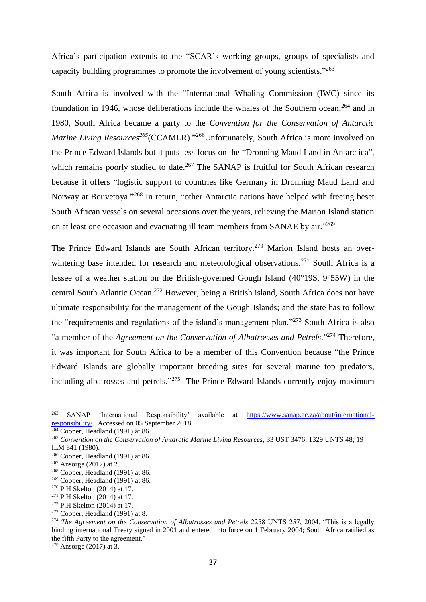Africa's participation extends to the "SCAR's working groups, groups of specialists and capacity building programmes to promote the involvement of young scientists."<sup>263</sup>

South Africa is involved with the "International Whaling Commission (IWC) since its foundation in 1946, whose deliberations include the whales of the Southern ocean, <sup>264</sup> and in 1980, South Africa became a party to the *Convention for the Conservation of Antarctic Marine Living Resources*<sup>265</sup>(CCAMLR)."<sup>266</sup>Unfortunately, South Africa is more involved on the Prince Edward Islands but it puts less focus on the "Dronning Maud Land in Antarctica", which remains poorly studied to date.<sup>267</sup> The SANAP is fruitful for South African research because it offers "logistic support to countries like Germany in Dronning Maud Land and Norway at Bouvetoya."<sup>268</sup> In return, "other Antarctic nations have helped with freeing beset South African vessels on several occasions over the years, relieving the Marion Island station on at least one occasion and evacuating ill team members from SANAE by air."<sup>269</sup>

The Prince Edward Islands are South African territory.<sup>270</sup> Marion Island hosts an overwintering base intended for research and meteorological observations.<sup>271</sup> South Africa is a lessee of a weather station on the British-governed Gough Island (40°19S, 9°55W) in the central South Atlantic Ocean. <sup>272</sup> However, being a British island, South Africa does not have ultimate responsibility for the management of the Gough Islands; and the state has to follow the "requirements and regulations of the island's management plan."<sup>273</sup> South Africa is also "a member of the *Agreement on the Conservation of Albatrosses and Petrels*."<sup>274</sup> Therefore, it was important for South Africa to be a member of this Convention because "the Prince Edward Islands are globally important breeding sites for several marine top predators, including albatrosses and petrels."<sup>275</sup> The Prince Edward Islands currently enjoy maximum

<sup>263</sup> SANAP 'International Responsibility' available at [https://www.sanap.ac.za/about/international](https://www.sanap.ac.za/about/international-responsibility/)[responsibility/.](https://www.sanap.ac.za/about/international-responsibility/) Accessed on 05 September 2018.

 $264$  Cooper, Headland (1991) at 86.

<sup>265</sup> *Convention on the Conservation of Antarctic Marine Living Resources,* 33 UST 3476; 1329 UNTS 48; 19 ILM 841 (1980).

<sup>266</sup> Cooper, Headland (1991) at 86.

 $267$  Ansorge (2017) at 2.

<sup>&</sup>lt;sup>268</sup> Cooper, Headland (1991) at 86.

 $269$  Cooper, Headland (1991) at 86.

<sup>270</sup> P.H Skelton (2014) at 17.

<sup>271</sup> P.H Skelton (2014) at 17.

<sup>272</sup> P.H Skelton (2014) at 17.

<sup>273</sup> Cooper, Headland (1991) at 8.

<sup>&</sup>lt;sup>274</sup> *The Agreement on the Conservation of Albatrosses and Petrels* 2258 UNTS 257, 2004. "This is a legally binding international Treaty signed in 2001 and entered into force on 1 February 2004; South Africa ratified as the fifth Party to the agreement."

 $275$  Ansorge (2017) at 3.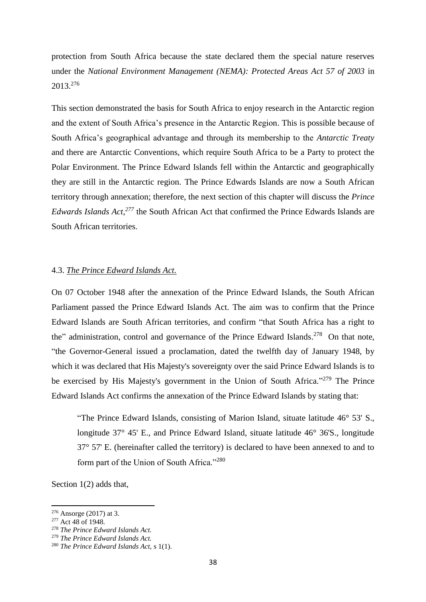protection from South Africa because the state declared them the special nature reserves under the *National Environment Management (NEMA): Protected Areas Act 57 of 2003* in 2013. 276

This section demonstrated the basis for South Africa to enjoy research in the Antarctic region and the extent of South Africa's presence in the Antarctic Region. This is possible because of South Africa's geographical advantage and through its membership to the *Antarctic Treaty*  and there are Antarctic Conventions, which require South Africa to be a Party to protect the Polar Environment. The Prince Edward Islands fell within the Antarctic and geographically they are still in the Antarctic region. The Prince Edwards Islands are now a South African territory through annexation; therefore, the next section of this chapter will discuss the *Prince Edwards Islands Act,<sup>277</sup>* the South African Act that confirmed the Prince Edwards Islands are South African territories.

### 4.3. *The Prince Edward Islands Act.*

On 07 October 1948 after the annexation of the Prince Edward Islands, the South African Parliament passed the Prince Edward Islands Act. The aim was to confirm that the Prince Edward Islands are South African territories, and confirm "that South Africa has a right to the" administration, control and governance of the Prince Edward Islands.<sup>278</sup> On that note, "the Governor-General issued a proclamation, dated the twelfth day of January 1948, by which it was declared that His Majesty's sovereignty over the said Prince Edward Islands is to be exercised by His Majesty's government in the Union of South Africa."<sup>279</sup> The Prince Edward Islands Act confirms the annexation of the Prince Edward Islands by stating that:

"The Prince Edward Islands, consisting of Marion Island, situate latitude 46° 53' S., longitude 37° 45' E., and Prince Edward Island, situate latitude 46° 36'S., longitude 37° 57' E. (hereinafter called the territory) is declared to have been annexed to and to form part of the Union of South Africa."<sup>280</sup>

Section 1(2) adds that,

<sup>276</sup> Ansorge (2017) at 3.

<sup>&</sup>lt;sup>277</sup> Act 48 of 1948.

<sup>278</sup> *The Prince Edward Islands Act.*

<sup>279</sup> *The Prince Edward Islands Act.*

<sup>280</sup> *The Prince Edward Islands Act,* s 1(1).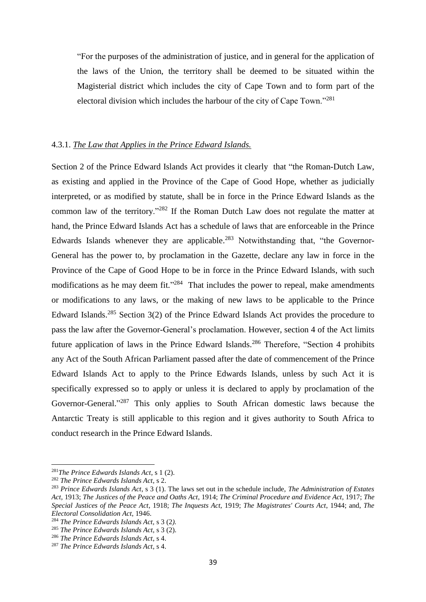"For the purposes of the administration of justice, and in general for the application of the laws of the Union, the territory shall be deemed to be situated within the Magisterial district which includes the city of Cape Town and to form part of the electoral division which includes the harbour of the city of Cape Town."<sup>281</sup>

### 4.3.1. *The Law that Applies in the Prince Edward Islands.*

Section 2 of the Prince Edward Islands Act provides it clearly that "the Roman-Dutch Law, as existing and applied in the Province of the Cape of Good Hope, whether as judicially interpreted, or as modified by statute, shall be in force in the Prince Edward Islands as the common law of the territory."<sup>282</sup> If the Roman Dutch Law does not regulate the matter at hand, the Prince Edward Islands Act has a schedule of laws that are enforceable in the Prince Edwards Islands whenever they are applicable.<sup>283</sup> Notwithstanding that, "the Governor-General has the power to, by proclamation in the Gazette, declare any law in force in the Province of the Cape of Good Hope to be in force in the Prince Edward Islands, with such modifications as he may deem fit."<sup>284</sup> That includes the power to repeal, make amendments or modifications to any laws, or the making of new laws to be applicable to the Prince Edward Islands.<sup>285</sup> Section 3(2) of the Prince Edward Islands Act provides the procedure to pass the law after the Governor-General's proclamation. However, section 4 of the Act limits future application of laws in the Prince Edward Islands.<sup>286</sup> Therefore, "Section 4 prohibits any Act of the South African Parliament passed after the date of commencement of the Prince Edward Islands Act to apply to the Prince Edwards Islands, unless by such Act it is specifically expressed so to apply or unless it is declared to apply by proclamation of the Governor-General."<sup>287</sup> This only applies to South African domestic laws because the Antarctic Treaty is still applicable to this region and it gives authority to South Africa to conduct research in the Prince Edward Islands.

<sup>281</sup>*The Prince Edwards Islands Act*, s 1 (2).

<sup>282</sup> *The Prince Edwards Islands Act*, s 2.

<sup>283</sup> *Prince Edwards Islands Act*, s 3 (1). The laws set out in the schedule include, *The Administration of Estates Act,* 1913; *The Justices of the Peace and Oaths Act*, 1914; *The Criminal Procedure and Evidence Act*, 1917; *The Special Justices of the Peace Act*, 1918; *The Inquests Act,* 1919; *The Magistrates' Courts Act*, 1944; and, *The Electoral Consolidation Act*, 1946.

<sup>284</sup> *The Prince Edwards Islands Act,* s 3 (2*).*

<sup>285</sup> *The Prince Edwards Islands Act*, s 3 (2).

<sup>286</sup> *The Prince Edwards Islands Act*, s 4.

<sup>287</sup> *The Prince Edwards Islands Act*, s 4.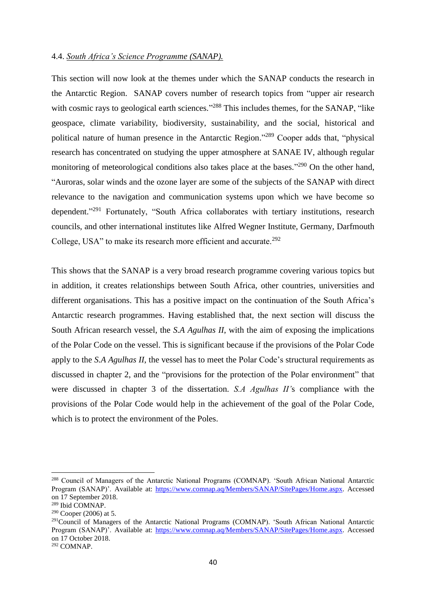### 4.4. *South Africa's Science Programme (SANAP).*

This section will now look at the themes under which the SANAP conducts the research in the Antarctic Region. SANAP covers number of research topics from "upper air research with cosmic rays to geological earth sciences."<sup>288</sup> This includes themes, for the SANAP, "like geospace, climate variability, biodiversity, sustainability, and the social, historical and political nature of human presence in the Antarctic Region."<sup>289</sup> Cooper adds that, "physical research has concentrated on studying the upper atmosphere at SANAE IV, although regular monitoring of meteorological conditions also takes place at the bases."<sup>290</sup> On the other hand, "Auroras, solar winds and the ozone layer are some of the subjects of the SANAP with direct relevance to the navigation and communication systems upon which we have become so dependent."<sup>291</sup> Fortunately, "South Africa collaborates with tertiary institutions, research councils, and other international institutes like Alfred Wegner Institute, Germany, Darfmouth College, USA" to make its research more efficient and accurate.<sup>292</sup>

This shows that the SANAP is a very broad research programme covering various topics but in addition, it creates relationships between South Africa, other countries, universities and different organisations. This has a positive impact on the continuation of the South Africa's Antarctic research programmes. Having established that, the next section will discuss the South African research vessel, the *S.A Agulhas II*, with the aim of exposing the implications of the Polar Code on the vessel. This is significant because if the provisions of the Polar Code apply to the *S.A Agulhas II*, the vessel has to meet the Polar Code's structural requirements as discussed in chapter 2, and the "provisions for the protection of the Polar environment" that were discussed in chapter 3 of the dissertation. *S.A Agulhas II'*s compliance with the provisions of the Polar Code would help in the achievement of the goal of the Polar Code, which is to protect the environment of the Poles.

 $\overline{a}$ 

<sup>288</sup> Council of Managers of the Antarctic National Programs (COMNAP). 'South African National Antarctic Program (SANAP)'. Available at: [https://www.comnap.aq/Members/SANAP/SitePages/Home.aspx.](https://www.comnap.aq/Members/SANAP/SitePages/Home.aspx) Accessed on 17 September 2018.

<sup>289</sup> Ibid COMNAP.

 $290$  Cooper (2006) at 5.

<sup>&</sup>lt;sup>291</sup>Council of Managers of the Antarctic National Programs (COMNAP). 'South African National Antarctic Program (SANAP)'. Available at: [https://www.comnap.aq/Members/SANAP/SitePages/Home.aspx.](https://www.comnap.aq/Members/SANAP/SitePages/Home.aspx) Accessed on 17 October 2018.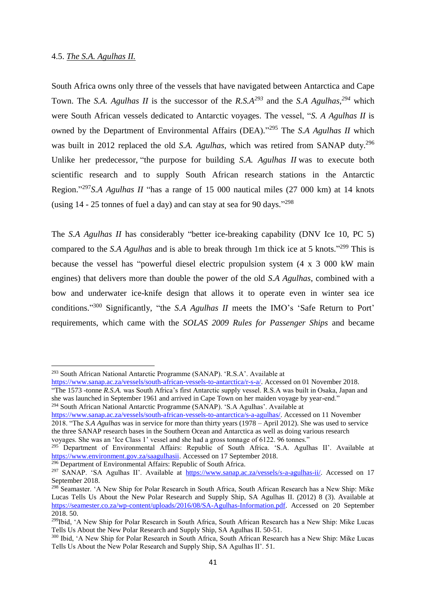**.** 

South Africa owns only three of the vessels that have navigated between Antarctica and Cape Town. The *S.A. Agulhas II* is the successor of the *R.S.A*<sup>293</sup> and the *S.A Agulhas*,<sup>294</sup> which were South African vessels dedicated to Antarctic voyages. The vessel, "*S. A Agulhas II* is owned by the Department of Environmental Affairs (DEA)."<sup>295</sup> The *S.A Agulhas II* which was built in 2012 replaced the old *S.A. Agulhas,* which was retired from SANAP duty. 296 Unlike her predecessor, "the purpose for building *S.A. Agulhas II* was to execute both scientific research and to supply South African research stations in the Antarctic Region." <sup>297</sup>*S.A Agulhas II* "has a range of 15 000 nautical miles (27 000 km) at 14 knots (using  $14 - 25$  tonnes of fuel a day) and can stay at sea for 90 days."<sup>298</sup>

The *S.A Agulhas II* has considerably "better ice-breaking capability (DNV Ice 10, PC 5) compared to the *S.A Agulhas* and is able to break through 1m thick ice at 5 knots."<sup>299</sup> This is because the vessel has "powerful diesel electric propulsion system (4 x 3 000 kW main engines) that delivers more than double the power of the old *S.A Agulhas*, combined with a bow and underwater ice-knife design that allows it to operate even in winter sea ice conditions." <sup>300</sup> Significantly, "the *S.A Agulhas II* meets the IMO's 'Safe Return to Port' requirements, which came with the *SOLAS 2009 Rules for Passenger Ships* and became

<sup>294</sup> South African National Antarctic Programme (SANAP). 'S.A Agulhas'. Available at

[https://www.sanap.ac.za/vessels/south-african-vessels-to-antarctica/s-a-agulhas/.](https://www.sanap.ac.za/vessels/south-african-vessels-to-antarctica/s-a-agulhas/) Accessed on 11 November 2018. "The *S.A Agulhas* was in service for more than thirty years (1978 – April 2012). She was used to service the three SANAP research bases in the Southern Ocean and Antarctica as well as doing various research voyages. She was an 'Ice Class 1' vessel and she had a gross tonnage of 6122. 96 tonnes."

<sup>295</sup> Department of Environmental Affairs: Republic of South Africa. 'S.A. Agulhas II'. Available at [https://www.environment.gov.za/saagulhasii.](https://www.environment.gov.za/saagulhasii) Accessed on 17 September 2018.

<sup>296</sup> Department of Environmental Affairs: Republic of South Africa.

<sup>293</sup> South African National Antarctic Programme (SANAP). 'R.S.A'. Available at

[https://www.sanap.ac.za/vessels/south-african-vessels-to-antarctica/r-s-a/.](https://www.sanap.ac.za/vessels/south-african-vessels-to-antarctica/r-s-a/) Accessed on 01 November 2018. "The 1573 -tonne *R.S.A.* was South Africa's first Antarctic supply vessel. R.S.A was built in Osaka, Japan and she was launched in September 1961 and arrived in Cape Town on her maiden voyage by year-end."

<sup>&</sup>lt;sup>297</sup> SANAP. 'SA Agulhas II'. Available at [https://www.sanap.ac.za/vessels/s-a-agulhas-ii/.](https://www.sanap.ac.za/vessels/s-a-agulhas-ii/) Accessed on 17 September 2018.

<sup>&</sup>lt;sup>298</sup> Seamaster. 'A New Ship for Polar Research in South Africa, South African Research has a New Ship: Mike Lucas Tells Us About the New Polar Research and Supply Ship, SA Agulhas II. (2012) 8 (3). Available at [https://seamester.co.za/wp-content/uploads/2016/08/SA-Agulhas-Information.pdf.](https://seamester.co.za/wp-content/uploads/2016/08/SA-Agulhas-Information.pdf) Accessed on 20 September 2018. 50.

<sup>&</sup>lt;sup>299</sup>Ibid. 'A New Ship for Polar Research in South Africa, South African Research has a New Ship: Mike Lucas Tells Us About the New Polar Research and Supply Ship, SA Agulhas II. 50-51.

<sup>300</sup> Ibid, 'A New Ship for Polar Research in South Africa, South African Research has a New Ship: Mike Lucas Tells Us About the New Polar Research and Supply Ship, SA Agulhas II'. 51.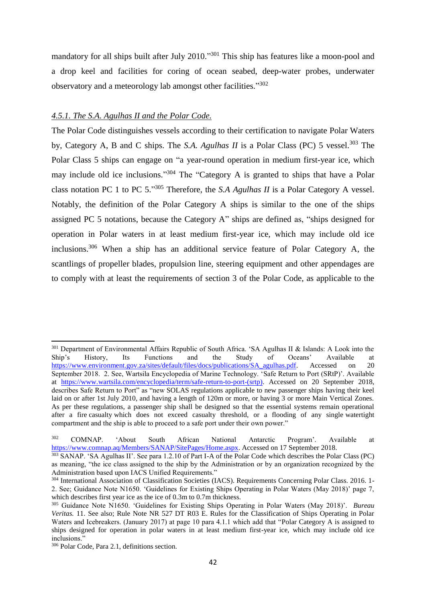mandatory for all ships built after July 2010."<sup>301</sup> This ship has features like a moon-pool and a drop keel and facilities for coring of ocean seabed, deep-water probes, underwater observatory and a meteorology lab amongst other facilities."302

### *4.5.1. The S.A. Agulhas II and the Polar Code.*

The Polar Code distinguishes vessels according to their certification to navigate Polar Waters by, Category A, B and C ships. The *S.A. Agulhas II* is a Polar Class (PC) 5 vessel. <sup>303</sup> The Polar Class 5 ships can engage on "a year-round operation in medium first-year ice, which may include old ice inclusions."<sup>304</sup> The "Category A is granted to ships that have a Polar class notation PC 1 to PC 5." <sup>305</sup> Therefore, the *S.A Agulhas II* is a Polar Category A vessel. Notably, the definition of the Polar Category A ships is similar to the one of the ships assigned PC 5 notations, because the Category A" ships are defined as, "ships designed for operation in Polar waters in at least medium first-year ice, which may include old ice inclusions. <sup>306</sup> When a ship has an additional service feature of Polar Category A, the scantlings of propeller blades, propulsion line, steering equipment and other appendages are to comply with at least the requirements of section 3 of the Polar Code, as applicable to the

<sup>&</sup>lt;sup>301</sup> Department of Environmental Affairs Republic of South Africa. 'SA Agulhas II & Islands: A Look into the Ship's History, Its Functions and the Study of Oceans' Available at [https://www.environment.gov.za/sites/default/files/docs/publications/SA\\_agulhas.pdf.](https://www.environment.gov.za/sites/default/files/docs/publications/SA_agulhas.pdf) Accessed on 20 September 2018. 2. See, Wartsila Encyclopedia of Marine Technology. 'Safe Return to Port (SRtP)'. Available at [https://www.wartsila.com/encyclopedia/term/safe-return-to-port-\(srtp\).](https://www.wartsila.com/encyclopedia/term/safe-return-to-port-(srtp)) Accessed on 20 September 2018, describes Safe Return to Port" as "new SOLAS regulations applicable to new passenger ships having their keel laid on or after 1st July 2010, and having a length of 120m or more, or having 3 or more Main Vertical Zones. As per these regulations, a passenger ship shall be designed so that the essential systems remain operational after a fire casualty which does not exceed casualty threshold, or a flooding of any single watertight compartment and the ship is able to proceed to a safe port under their own power."

<sup>302</sup> COMNAP. 'About South African National Antarctic Program'. Available at [https://www.comnap.aq/Members/SANAP/SitePages/Home.aspx.](https://www.comnap.aq/Members/SANAP/SitePages/Home.aspx) Accessed on 17 September 2018.

<sup>303</sup> SANAP. 'SA Agulhas II'. See para 1.2.10 of Part I-A of the Polar Code which describes the Polar Class (PC) as meaning, "the ice class assigned to the ship by the Administration or by an organization recognized by the Administration based upon IACS Unified Requirements."

<sup>&</sup>lt;sup>304</sup> International Association of Classification Societies (IACS). Requirements Concerning Polar Class. 2016. 1-2. See; Guidance Note N1650. 'Guidelines for Existing Ships Operating in Polar Waters (May 2018)' page 7, which describes first year ice as the ice of 0.3m to 0.7m thickness.

<sup>305</sup> Guidance Note N1650. 'Guidelines for Existing Ships Operating in Polar Waters (May 2018)'. *Bureau Veritas.* 11. See also; Rule Note NR 527 DT R03 E. Rules for the Classification of Ships Operating in Polar Waters and Icebreakers. (January 2017) at page 10 para 4.1.1 which add that "Polar Category A is assigned to ships designed for operation in polar waters in at least medium first-year ice, which may include old ice inclusions."

<sup>306</sup> Polar Code, Para 2.1, definitions section.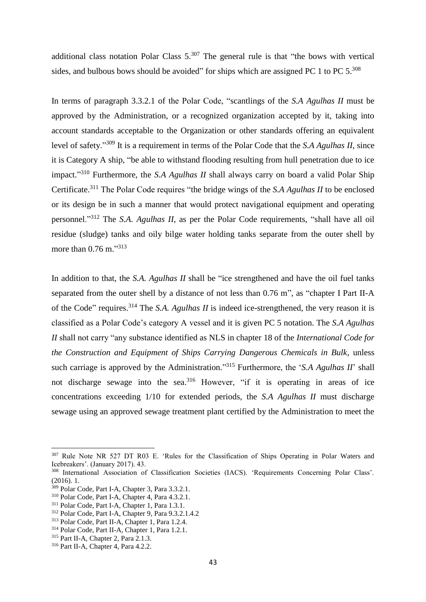additional class notation Polar Class  $5.^{307}$  The general rule is that "the bows with vertical sides, and bulbous bows should be avoided" for ships which are assigned PC 1 to PC  $5^{308}$ 

In terms of paragraph 3.3.2.1 of the Polar Code, "scantlings of the *S.A Agulhas II* must be approved by the Administration, or a recognized organization accepted by it, taking into account standards acceptable to the Organization or other standards offering an equivalent level of safety."<sup>309</sup> It is a requirement in terms of the Polar Code that the *S.A Agulhas II*, since it is Category A ship, "be able to withstand flooding resulting from hull penetration due to ice impact." <sup>310</sup> Furthermore, the *S.A Agulhas II* shall always carry on board a valid Polar Ship Certificate.<sup>311</sup> The Polar Code requires "the bridge wings of the *S.A Agulhas II* to be enclosed or its design be in such a manner that would protect navigational equipment and operating personnel."<sup>312</sup> The *S.A. Agulhas II*, as per the Polar Code requirements, "shall have all oil residue (sludge) tanks and oily bilge water holding tanks separate from the outer shell by more than 0.76 m."313

In addition to that, the *S.A. Agulhas II* shall be "ice strengthened and have the oil fuel tanks separated from the outer shell by a distance of not less than 0.76 m", as "chapter I Part II-A of the Code" requires.<sup>314</sup> The *S.A. Agulhas II* is indeed ice-strengthened, the very reason it is classified as a Polar Code's category A vessel and it is given PC 5 notation. The *S.A Agulhas II* shall not carry "any substance identified as NLS in chapter 18 of the *International Code for the Construction and Equipment of Ships Carrying Dangerous Chemicals in Bulk*, unless such carriage is approved by the Administration." <sup>315</sup> Furthermore, the '*S.A Agulhas II*' shall not discharge sewage into the sea.<sup>316</sup> However, "if it is operating in areas of ice concentrations exceeding 1/10 for extended periods, the *S.A Agulhas II* must discharge sewage using an approved sewage treatment plant certified by the Administration to meet the

 $\overline{a}$ 

<sup>307</sup> Rule Note NR 527 DT R03 E. 'Rules for the Classification of Ships Operating in Polar Waters and Icebreakers'. (January 2017). 43.

<sup>308</sup> International Association of Classification Societies (IACS). 'Requirements Concerning Polar Class'. (2016). 1.

<sup>309</sup> Polar Code, Part I-A, Chapter 3, Para 3.3.2.1.

<sup>310</sup> Polar Code, Part I-A, Chapter 4, Para 4.3.2.1.

<sup>311</sup> Polar Code, Part I-A, Chapter 1, Para 1.3.1.

<sup>312</sup> Polar Code, Part I-A, Chapter 9, Para 9.3.2.1.4.2

<sup>313</sup> Polar Code, Part II-A, Chapter 1, Para 1.2.4.

<sup>314</sup> Polar Code, Part II-A, Chapter 1, Para 1.2.1.

<sup>315</sup> Part II-A, Chapter 2, Para 2.1.3.

<sup>316</sup> Part II-A, Chapter 4, Para 4.2.2.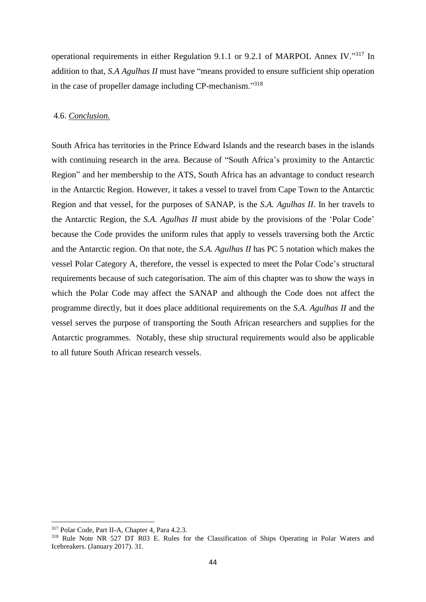operational requirements in either Regulation 9.1.1 or 9.2.1 of MARPOL Annex IV."317 In addition to that, *S.A Agulhas II* must have "means provided to ensure sufficient ship operation in the case of propeller damage including CP-mechanism."318

### 4.6. *Conclusion.*

South Africa has territories in the Prince Edward Islands and the research bases in the islands with continuing research in the area. Because of "South Africa's proximity to the Antarctic Region" and her membership to the ATS, South Africa has an advantage to conduct research in the Antarctic Region. However, it takes a vessel to travel from Cape Town to the Antarctic Region and that vessel, for the purposes of SANAP, is the *S.A. Agulhas II*. In her travels to the Antarctic Region, the *S.A. Agulhas II* must abide by the provisions of the 'Polar Code' because the Code provides the uniform rules that apply to vessels traversing both the Arctic and the Antarctic region. On that note, the *S.A. Agulhas II* has PC 5 notation which makes the vessel Polar Category A, therefore, the vessel is expected to meet the Polar Code's structural requirements because of such categorisation. The aim of this chapter was to show the ways in which the Polar Code may affect the SANAP and although the Code does not affect the programme directly, but it does place additional requirements on the *S.A. Agulhas II* and the vessel serves the purpose of transporting the South African researchers and supplies for the Antarctic programmes. Notably, these ship structural requirements would also be applicable to all future South African research vessels.

 $\overline{a}$ 

<sup>317</sup> Polar Code, Part II-A, Chapter 4, Para 4.2.3.

<sup>&</sup>lt;sup>318</sup> Rule Note NR 527 DT R03 E. Rules for the Classification of Ships Operating in Polar Waters and Icebreakers. (January 2017). 31.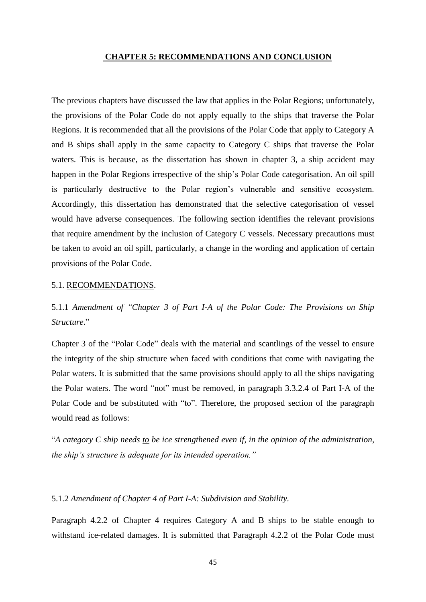#### **CHAPTER 5: RECOMMENDATIONS AND CONCLUSION**

The previous chapters have discussed the law that applies in the Polar Regions; unfortunately, the provisions of the Polar Code do not apply equally to the ships that traverse the Polar Regions. It is recommended that all the provisions of the Polar Code that apply to Category A and B ships shall apply in the same capacity to Category C ships that traverse the Polar waters. This is because, as the dissertation has shown in chapter 3, a ship accident may happen in the Polar Regions irrespective of the ship's Polar Code categorisation. An oil spill is particularly destructive to the Polar region's vulnerable and sensitive ecosystem. Accordingly, this dissertation has demonstrated that the selective categorisation of vessel would have adverse consequences. The following section identifies the relevant provisions that require amendment by the inclusion of Category C vessels. Necessary precautions must be taken to avoid an oil spill, particularly, a change in the wording and application of certain provisions of the Polar Code.

#### 5.1. RECOMMENDATIONS.

5.1.1 *Amendment of "Chapter 3 of Part I-A of the Polar Code: The Provisions on Ship Structure*."

Chapter 3 of the "Polar Code" deals with the material and scantlings of the vessel to ensure the integrity of the ship structure when faced with conditions that come with navigating the Polar waters. It is submitted that the same provisions should apply to all the ships navigating the Polar waters. The word "not" must be removed, in paragraph 3.3.2.4 of Part I-A of the Polar Code and be substituted with "to". Therefore, the proposed section of the paragraph would read as follows:

"*A category C ship needs to be ice strengthened even if, in the opinion of the administration, the ship's structure is adequate for its intended operation."*

### 5.1.2 *Amendment of Chapter 4 of Part I-A: Subdivision and Stability.*

Paragraph 4.2.2 of Chapter 4 requires Category A and B ships to be stable enough to withstand ice-related damages. It is submitted that Paragraph 4.2.2 of the Polar Code must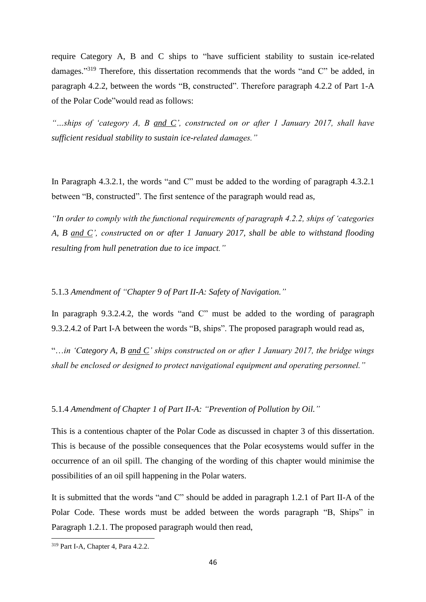require Category A, B and C ships to "have sufficient stability to sustain ice-related damages."<sup>319</sup> Therefore, this dissertation recommends that the words "and C" be added, in paragraph 4.2.2, between the words "B, constructed". Therefore paragraph 4.2.2 of Part 1-A of the Polar Code"would read as follows:

*"…ships of 'category A, B and C', constructed on or after 1 January 2017, shall have sufficient residual stability to sustain ice-related damages."*

In Paragraph 4.3.2.1, the words "and C" must be added to the wording of paragraph 4.3.2.1 between "B, constructed". The first sentence of the paragraph would read as,

*"In order to comply with the functional requirements of paragraph 4.2.2, ships of 'categories A, B and C', constructed on or after 1 January 2017, shall be able to withstand flooding resulting from hull penetration due to ice impact."*

5.1.3 *Amendment of "Chapter 9 of Part II-A: Safety of Navigation."*

In paragraph 9.3.2.4.2, the words "and C" must be added to the wording of paragraph 9.3.2.4.2 of Part I-A between the words "B, ships". The proposed paragraph would read as,

"…*in 'Category A, B and C' ships constructed on or after 1 January 2017, the bridge wings shall be enclosed or designed to protect navigational equipment and operating personnel."*

### 5.1.4 *Amendment of Chapter 1 of Part II-A: "Prevention of Pollution by Oil."*

This is a contentious chapter of the Polar Code as discussed in chapter 3 of this dissertation. This is because of the possible consequences that the Polar ecosystems would suffer in the occurrence of an oil spill. The changing of the wording of this chapter would minimise the possibilities of an oil spill happening in the Polar waters.

It is submitted that the words "and C" should be added in paragraph 1.2.1 of Part II-A of the Polar Code. These words must be added between the words paragraph "B, Ships" in Paragraph 1.2.1. The proposed paragraph would then read,

<sup>&</sup>lt;sup>319</sup> Part I-A, Chapter 4, Para 4.2.2.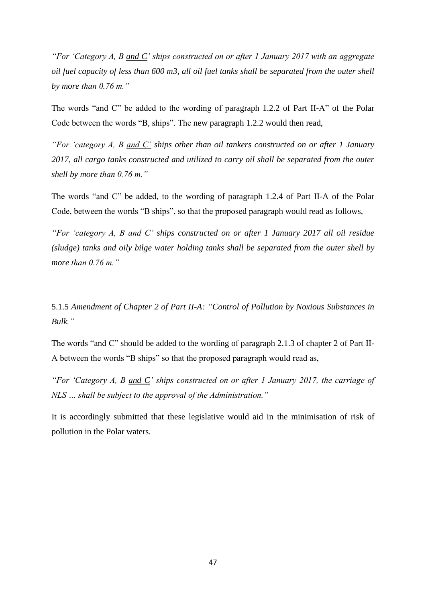*"For 'Category A, B and C' ships constructed on or after 1 January 2017 with an aggregate oil fuel capacity of less than 600 m3, all oil fuel tanks shall be separated from the outer shell by more than 0.76 m."*

The words "and C" be added to the wording of paragraph 1.2.2 of Part II-A" of the Polar Code between the words "B, ships". The new paragraph 1.2.2 would then read,

*"For 'category A, B and C' ships other than oil tankers constructed on or after 1 January 2017, all cargo tanks constructed and utilized to carry oil shall be separated from the outer shell by more than 0.76 m."*

The words "and C" be added, to the wording of paragraph 1.2.4 of Part II-A of the Polar Code, between the words "B ships", so that the proposed paragraph would read as follows,

*"For 'category A, B and C' ships constructed on or after 1 January 2017 all oil residue (sludge) tanks and oily bilge water holding tanks shall be separated from the outer shell by more than 0.76 m."*

5.1.5 *Amendment of Chapter 2 of Part II-A: "Control of Pollution by Noxious Substances in Bulk."*

The words "and C" should be added to the wording of paragraph 2.1.3 of chapter 2 of Part II-A between the words "B ships" so that the proposed paragraph would read as,

*"For 'Category A, B and C' ships constructed on or after 1 January 2017, the carriage of NLS … shall be subject to the approval of the Administration."* 

It is accordingly submitted that these legislative would aid in the minimisation of risk of pollution in the Polar waters.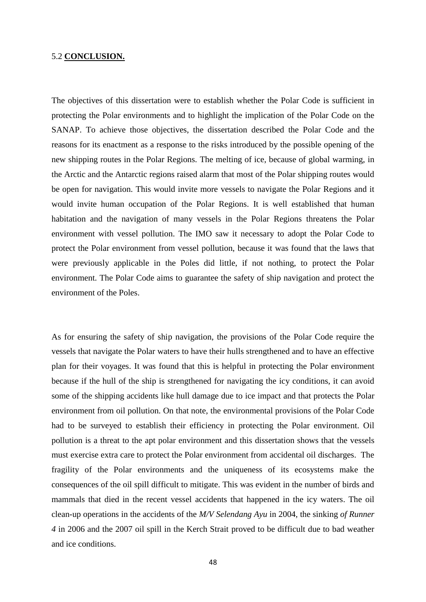### 5.2 **CONCLUSION.**

The objectives of this dissertation were to establish whether the Polar Code is sufficient in protecting the Polar environments and to highlight the implication of the Polar Code on the SANAP. To achieve those objectives, the dissertation described the Polar Code and the reasons for its enactment as a response to the risks introduced by the possible opening of the new shipping routes in the Polar Regions. The melting of ice, because of global warming, in the Arctic and the Antarctic regions raised alarm that most of the Polar shipping routes would be open for navigation. This would invite more vessels to navigate the Polar Regions and it would invite human occupation of the Polar Regions. It is well established that human habitation and the navigation of many vessels in the Polar Regions threatens the Polar environment with vessel pollution. The IMO saw it necessary to adopt the Polar Code to protect the Polar environment from vessel pollution, because it was found that the laws that were previously applicable in the Poles did little, if not nothing, to protect the Polar environment. The Polar Code aims to guarantee the safety of ship navigation and protect the environment of the Poles.

As for ensuring the safety of ship navigation, the provisions of the Polar Code require the vessels that navigate the Polar waters to have their hulls strengthened and to have an effective plan for their voyages. It was found that this is helpful in protecting the Polar environment because if the hull of the ship is strengthened for navigating the icy conditions, it can avoid some of the shipping accidents like hull damage due to ice impact and that protects the Polar environment from oil pollution. On that note, the environmental provisions of the Polar Code had to be surveyed to establish their efficiency in protecting the Polar environment. Oil pollution is a threat to the apt polar environment and this dissertation shows that the vessels must exercise extra care to protect the Polar environment from accidental oil discharges. The fragility of the Polar environments and the uniqueness of its ecosystems make the consequences of the oil spill difficult to mitigate. This was evident in the number of birds and mammals that died in the recent vessel accidents that happened in the icy waters. The oil clean-up operations in the accidents of the *M/V Selendang Ayu* in 2004, the sinking *of Runner 4* in 2006 and the 2007 oil spill in the Kerch Strait proved to be difficult due to bad weather and ice conditions.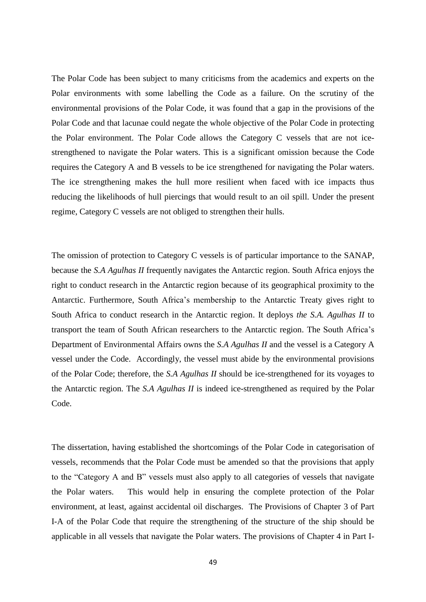The Polar Code has been subject to many criticisms from the academics and experts on the Polar environments with some labelling the Code as a failure. On the scrutiny of the environmental provisions of the Polar Code, it was found that a gap in the provisions of the Polar Code and that lacunae could negate the whole objective of the Polar Code in protecting the Polar environment. The Polar Code allows the Category C vessels that are not icestrengthened to navigate the Polar waters. This is a significant omission because the Code requires the Category A and B vessels to be ice strengthened for navigating the Polar waters. The ice strengthening makes the hull more resilient when faced with ice impacts thus reducing the likelihoods of hull piercings that would result to an oil spill. Under the present regime, Category C vessels are not obliged to strengthen their hulls.

The omission of protection to Category C vessels is of particular importance to the SANAP, because the *S.A Agulhas II* frequently navigates the Antarctic region. South Africa enjoys the right to conduct research in the Antarctic region because of its geographical proximity to the Antarctic. Furthermore, South Africa's membership to the Antarctic Treaty gives right to South Africa to conduct research in the Antarctic region. It deploys *the S.A. Agulhas II* to transport the team of South African researchers to the Antarctic region. The South Africa's Department of Environmental Affairs owns the *S.A Agulhas II* and the vessel is a Category A vessel under the Code. Accordingly, the vessel must abide by the environmental provisions of the Polar Code; therefore, the *S.A Agulhas II* should be ice-strengthened for its voyages to the Antarctic region. The *S.A Agulhas II* is indeed ice-strengthened as required by the Polar Code.

The dissertation, having established the shortcomings of the Polar Code in categorisation of vessels, recommends that the Polar Code must be amended so that the provisions that apply to the "Category A and B" vessels must also apply to all categories of vessels that navigate the Polar waters. This would help in ensuring the complete protection of the Polar environment, at least, against accidental oil discharges. The Provisions of Chapter 3 of Part I-A of the Polar Code that require the strengthening of the structure of the ship should be applicable in all vessels that navigate the Polar waters. The provisions of Chapter 4 in Part I-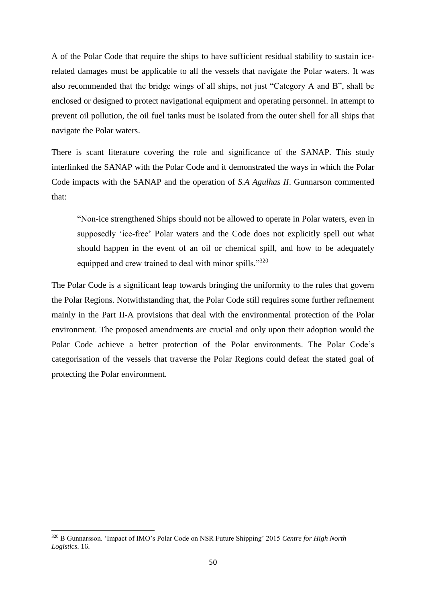A of the Polar Code that require the ships to have sufficient residual stability to sustain icerelated damages must be applicable to all the vessels that navigate the Polar waters. It was also recommended that the bridge wings of all ships, not just "Category A and B", shall be enclosed or designed to protect navigational equipment and operating personnel. In attempt to prevent oil pollution, the oil fuel tanks must be isolated from the outer shell for all ships that navigate the Polar waters.

There is scant literature covering the role and significance of the SANAP. This study interlinked the SANAP with the Polar Code and it demonstrated the ways in which the Polar Code impacts with the SANAP and the operation of *S.A Agulhas II*. Gunnarson commented that:

"Non-ice strengthened Ships should not be allowed to operate in Polar waters, even in supposedly 'ice-free' Polar waters and the Code does not explicitly spell out what should happen in the event of an oil or chemical spill, and how to be adequately equipped and crew trained to deal with minor spills."<sup>320</sup>

The Polar Code is a significant leap towards bringing the uniformity to the rules that govern the Polar Regions. Notwithstanding that, the Polar Code still requires some further refinement mainly in the Part II-A provisions that deal with the environmental protection of the Polar environment. The proposed amendments are crucial and only upon their adoption would the Polar Code achieve a better protection of the Polar environments. The Polar Code's categorisation of the vessels that traverse the Polar Regions could defeat the stated goal of protecting the Polar environment.

<sup>320</sup> B Gunnarsson. 'Impact of IMO's Polar Code on NSR Future Shipping' 2015 *Centre for High North Logistics*. 16.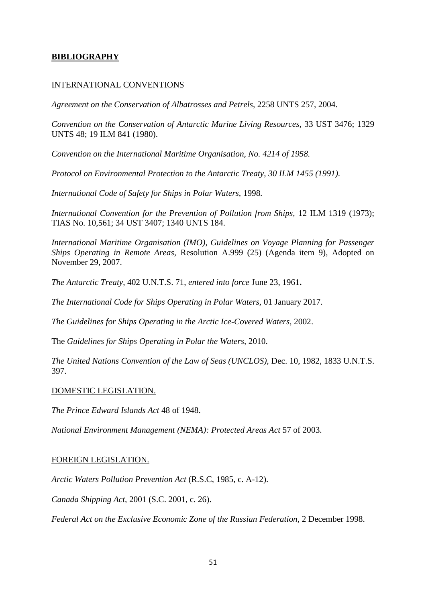# **BIBLIOGRAPHY**

### INTERNATIONAL CONVENTIONS

*Agreement on the Conservation of Albatrosses and Petrels*, 2258 UNTS 257, 2004.

*Convention on the Conservation of Antarctic Marine Living Resources,* 33 UST 3476; 1329 UNTS 48; 19 ILM 841 (1980).

*Convention on the International Maritime Organisation, No. 4214 of 1958.*

*Protocol on Environmental Protection to the Antarctic Treaty, 30 ILM 1455 (1991).*

*International Code of Safety for Ships in Polar Waters,* 1998*.*

*International Convention for the Prevention of Pollution from Ships,* 12 ILM 1319 (1973); TIAS No. 10,561; 34 UST 3407; 1340 UNTS 184.

*International Maritime Organisation (IMO), Guidelines on Voyage Planning for Passenger Ships Operating in Remote Areas,* Resolution A.999 (25) (Agenda item 9), Adopted on November 29, 2007.

*The Antarctic Treaty*, 402 U.N.T.S. 71, *entered into force* June 23, 1961**.**

*The International Code for Ships Operating in Polar Waters,* 01 January 2017.

*The Guidelines for Ships Operating in the Arctic Ice-Covered Waters*, 2002.

The *Guidelines for Ships Operating in Polar the Waters*, 2010.

*The United Nations Convention of the Law of Seas (UNCLOS),* Dec. 10, 1982, 1833 U.N.T.S. 397.

### DOMESTIC LEGISLATION.

*The Prince Edward Islands Act* 48 of 1948.

*National Environment Management (NEMA): Protected Areas Act* 57 of 2003.

### FOREIGN LEGISLATION.

*Arctic Waters Pollution Prevention Act* (R.S.C, 1985, c. A-12).

*Canada Shipping Act,* 2001 (S.C. 2001, c. 26).

*Federal Act on the Exclusive Economic Zone of the Russian Federation,* 2 December 1998.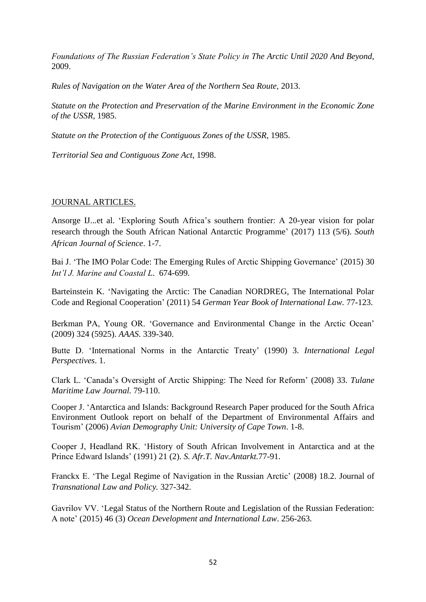*Foundations of The Russian Federation's State Policy in The Arctic Until 2020 And Beyond,*  2009.

*Rules of Navigation on the Water Area of the Northern Sea Route,* 2013.

*Statute on the Protection and Preservation of the Marine Environment in the Economic Zone of the USSR,* 1985.

*Statute on the Protection of the Contiguous Zones of the USSR,* 1985.

*Territorial Sea and Contiguous Zone Act*, 1998.

# JOURNAL ARTICLES.

Ansorge IJ...et al. 'Exploring South Africa's southern frontier: A 20-year vision for polar research through the South African National Antarctic Programme' (2017) 113 (5/6). *South African Journal of Science*. 1-7.

Bai J. 'The IMO Polar Code: The Emerging Rules of Arctic Shipping Governance' (2015) 30 *Int'l J. Marine and Coastal L*. 674-699.

Barteinstein K. 'Navigating the Arctic: The Canadian NORDREG, The International Polar Code and Regional Cooperation' (2011) 54 *German Year Book of International Law.* 77-123.

Berkman PA, Young OR. 'Governance and Environmental Change in the Arctic Ocean' (2009) 324 (5925). *AAAS*. 339-340.

Butte D. 'International Norms in the Antarctic Treaty' (1990) 3. *International Legal Perspectives*. 1.

Clark L. 'Canada's Oversight of Arctic Shipping: The Need for Reform' (2008) 33. *Tulane Maritime Law Journal.* 79-110.

Cooper J. 'Antarctica and Islands: Background Research Paper produced for the South Africa Environment Outlook report on behalf of the Department of Environmental Affairs and Tourism' (2006) *Avian Demography Unit: University of Cape Town*. 1-8.

Cooper J, Headland RK. 'History of South African Involvement in Antarctica and at the Prince Edward Islands' (1991) 21 (2). *S. Afr.T. Nav.Antarkt.*77-91.

Franckx E. 'The Legal Regime of Navigation in the Russian Arctic' (2008) 18.2. Journal of *Transnational Law and Policy.* 327-342.

Gavrilov VV. 'Legal Status of the Northern Route and Legislation of the Russian Federation: A note' (2015) 46 (3) *Ocean Development and International Law*. 256-263.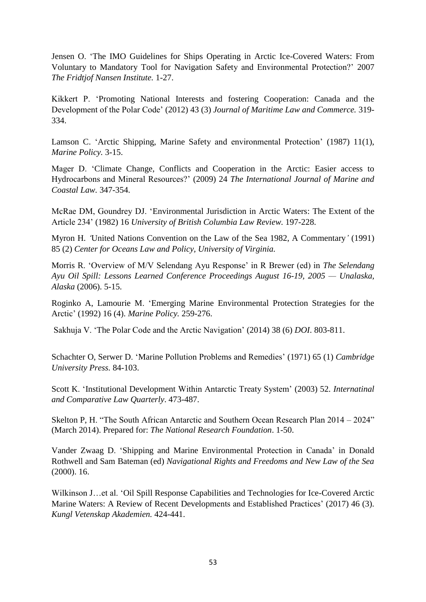Jensen O. 'The IMO Guidelines for Ships Operating in Arctic Ice-Covered Waters: From Voluntary to Mandatory Tool for Navigation Safety and Environmental Protection?' 2007 *The Fridtjof Nansen Institute.* 1-27.

Kikkert P. 'Promoting National Interests and fostering Cooperation: Canada and the Development of the Polar Code' (2012) 43 (3) *Journal of Maritime Law and Commerce.* 319- 334.

Lamson C. 'Arctic Shipping, Marine Safety and environmental Protection' (1987) 11(1), *Marine Policy.* 3-15.

Mager D. 'Climate Change, Conflicts and Cooperation in the Arctic: Easier access to Hydrocarbons and Mineral Resources?' (2009) 24 *The International Journal of Marine and Coastal Law.* 347-354.

McRae DM, Goundrey DJ. 'Environmental Jurisdiction in Arctic Waters: The Extent of the Article 234' (1982) 16 *University of British Columbia Law Review.* 197-228.

Myron H. *'*United Nations Convention on the Law of the Sea 1982, A Commentary*'* (1991) 85 (2) *Center for Oceans Law and Policy, University of Virginia.*

Morris R. 'Overview of M/V Selendang Ayu Response' in R Brewer (ed) in *The Selendang Ayu Oil Spill: Lessons Learned Conference Proceedings August 16-19, 2005 — Unalaska, Alaska* (2006). 5-15.

Roginko A, Lamourie M. 'Emerging Marine Environmental Protection Strategies for the Arctic' (1992) 16 (4). *Marine Policy.* 259-276.

Sakhuja V. 'The Polar Code and the Arctic Navigation' (2014) 38 (6) *DOI*. 803-811.

Schachter O, Serwer D. 'Marine Pollution Problems and Remedies' (1971) 65 (1) *Cambridge University Press.* 84-103.

Scott K. 'Institutional Development Within Antarctic Treaty System' (2003) 52. *Internatinal and Comparative Law Quarterly*. 473-487.

Skelton P, H. "The South African Antarctic and Southern Ocean Research Plan 2014 – 2024" (March 2014). Prepared for: *The National Research Foundation*. 1-50.

Vander Zwaag D. 'Shipping and Marine Environmental Protection in Canada' in Donald Rothwell and Sam Bateman (ed) *Navigational Rights and Freedoms and New Law of the Sea*  (2000). 16.

Wilkinson J…et al. 'Oil Spill Response Capabilities and Technologies for Ice-Covered Arctic Marine Waters: A Review of Recent Developments and Established Practices' (2017) 46 (3). *Kungl Vetenskap Akademien.* 424-441.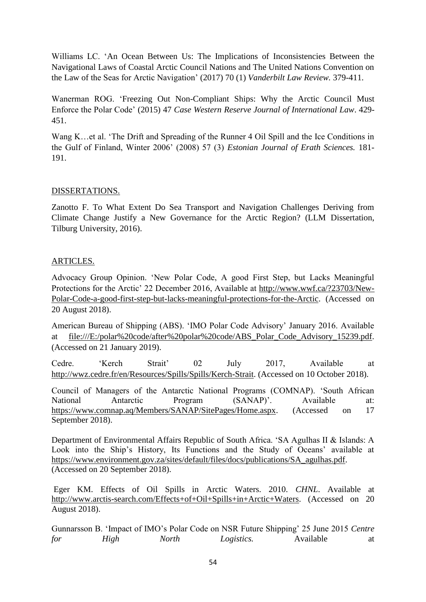Williams LC. 'An Ocean Between Us: The Implications of Inconsistencies Between the Navigational Laws of Coastal Arctic Council Nations and The United Nations Convention on the Law of the Seas for Arctic Navigation' (2017) 70 (1) *Vanderbilt Law Review.* 379-411.

Wanerman ROG. 'Freezing Out Non-Compliant Ships: Why the Arctic Council Must Enforce the Polar Code' (2015) 47 *Case Western Reserve Journal of International Law*. 429- 451.

Wang K…et al. 'The Drift and Spreading of the Runner 4 Oil Spill and the Ice Conditions in the Gulf of Finland, Winter 2006' (2008) 57 (3) *Estonian Journal of Erath Sciences.* 181- 191.

# DISSERTATIONS.

Zanotto F. To What Extent Do Sea Transport and Navigation Challenges Deriving from Climate Change Justify a New Governance for the Arctic Region? (LLM Dissertation, Tilburg University, 2016).

# ARTICLES.

Advocacy Group Opinion. 'New Polar Code, A good First Step, but Lacks Meaningful Protections for the Arctic' 22 December 2016, Available at [http://www.wwf.ca/?23703/New-](http://www.wwf.ca/?23703/New-Polar-Code-a-good-first-step-but-lacks-meaningful-protections-for-the-Arctic)[Polar-Code-a-good-first-step-but-lacks-meaningful-protections-for-the-Arctic.](http://www.wwf.ca/?23703/New-Polar-Code-a-good-first-step-but-lacks-meaningful-protections-for-the-Arctic) (Accessed on 20 August 2018).

American Bureau of Shipping (ABS). 'IMO Polar Code Advisory' January 2016. Available at [file:///E:/polar%20code/after%20polar%20code/ABS\\_Polar\\_Code\\_Advisory\\_15239.pdf.](file:///E:/polar%20code/after%20polar%20code/ABS_Polar_Code_Advisory_15239.pdf) (Accessed on 21 January 2019).

Cedre. 'Kerch Strait' 02 July 2017, Available at [http://wwz.cedre.fr/en/Resources/Spills/Spills/Kerch-Strait.](http://wwz.cedre.fr/en/Resources/Spills/Spills/Kerch-Strait) (Accessed on 10 October 2018).

Council of Managers of the Antarctic National Programs (COMNAP). 'South African National Antarctic Program (SANAP)'. Available at: [https://www.comnap.aq/Members/SANAP/SitePages/Home.aspx.](https://www.comnap.aq/Members/SANAP/SitePages/Home.aspx) (Accessed on 17 September 2018).

Department of Environmental Affairs Republic of South Africa. 'SA Agulhas II & Islands: A Look into the Ship's History, Its Functions and the Study of Oceans' available at [https://www.environment.gov.za/sites/default/files/docs/publications/SA\\_agulhas.pdf.](https://www.environment.gov.za/sites/default/files/docs/publications/SA_agulhas.pdf) (Accessed on 20 September 2018).

Eger KM. Effects of Oil Spills in Arctic Waters. 2010. *CHNL*. Available at [http://www.arctis-search.com/Effects+of+Oil+Spills+in+Arctic+Waters.](http://www.arctis-search.com/Effects+of+Oil+Spills+in+Arctic+Waters) (Accessed on 20 August 2018).

Gunnarsson B. 'Impact of IMO's Polar Code on NSR Future Shipping' 25 June 2015 *Centre for High North Logistics.* Available at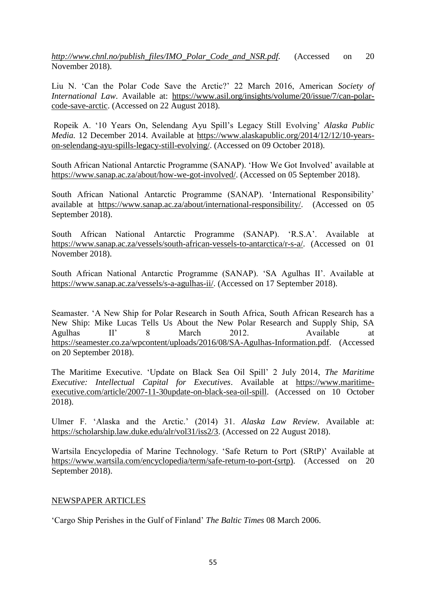*[http://www.chnl.no/publish\\_files/IMO\\_Polar\\_Code\\_and\\_NSR.pdf.](http://www.chnl.no/publish_files/IMO_Polar_Code_and_NSR.pdf)* (Accessed on 20 November 2018).

Liu N. 'Can the Polar Code Save the Arctic?' 22 March 2016, American *Society of International Law.* Available at: [https://www.asil.org/insights/volume/20/issue/7/can-polar](https://www.asil.org/insights/volume/20/issue/7/can-polar-code-save-arctic)[code-save-arctic.](https://www.asil.org/insights/volume/20/issue/7/can-polar-code-save-arctic) (Accessed on 22 August 2018).

Ropeik A. '10 Years On, Selendang Ayu Spill's Legacy Still Evolving' *Alaska Public Media.* 12 December 2014. Available at [https://www.alaskapublic.org/2014/12/12/10-years](https://www.alaskapublic.org/2014/12/12/10-years-on-selendang-ayu-spills-legacy-still-evolving/)[on-selendang-ayu-spills-legacy-still-evolving/.](https://www.alaskapublic.org/2014/12/12/10-years-on-selendang-ayu-spills-legacy-still-evolving/) (Accessed on 09 October 2018).

South African National Antarctic Programme (SANAP). 'How We Got Involved' available at [https://www.sanap.ac.za/about/how-we-got-involved/.](https://www.sanap.ac.za/about/how-we-got-involved/) (Accessed on 05 September 2018).

South African National Antarctic Programme (SANAP). 'International Responsibility' available at [https://www.sanap.ac.za/about/international-responsibility/.](https://www.sanap.ac.za/about/international-responsibility/) (Accessed on 05 September 2018).

South African National Antarctic Programme (SANAP). 'R.S.A'. Available at [https://www.sanap.ac.za/vessels/south-african-vessels-to-antarctica/r-s-a/.](https://www.sanap.ac.za/vessels/south-african-vessels-to-antarctica/r-s-a/) (Accessed on 01 November 2018).

South African National Antarctic Programme (SANAP). 'SA Agulhas II'. Available at [https://www.sanap.ac.za/vessels/s-a-agulhas-ii/.](https://www.sanap.ac.za/vessels/s-a-agulhas-ii/) (Accessed on 17 September 2018).

Seamaster. 'A New Ship for Polar Research in South Africa, South African Research has a New Ship: Mike Lucas Tells Us About the New Polar Research and Supply Ship, SA Agulhas II' 8 March 2012. Available at [https://seamester.co.za/wpcontent/uploads/2016/08/SA-Agulhas-Information.pdf.](https://seamester.co.za/wpcontent/uploads/2016/08/SA-Agulhas-Information.pdf) (Accessed on 20 September 2018).

The Maritime Executive. 'Update on Black Sea Oil Spill' 2 July 2014, *The Maritime Executive: Intellectual Capital for Executives*. Available at [https://www.maritime](https://www.maritime-executive.com/article/2007-11-30update-on-black-sea-oil-spill)[executive.com/article/2007-11-30update-on-black-sea-oil-spill.](https://www.maritime-executive.com/article/2007-11-30update-on-black-sea-oil-spill) (Accessed on 10 October 2018).

Ulmer F. 'Alaska and the Arctic.' (2014) 31. *Alaska Law Review*. Available at: [https://scholarship.law.duke.edu/alr/vol31/iss2/3.](https://scholarship.law.duke.edu/alr/vol31/iss2/3) (Accessed on 22 August 2018).

Wartsila Encyclopedia of Marine Technology. 'Safe Return to Port (SRtP)' Available at [https://www.wartsila.com/encyclopedia/term/safe-return-to-port-\(srtp\).](https://www.wartsila.com/encyclopedia/term/safe-return-to-port-(srtp)) (Accessed on 20 September 2018).

# NEWSPAPER ARTICLES

'Cargo Ship Perishes in the Gulf of Finland' *The Baltic Times* 08 March 2006.